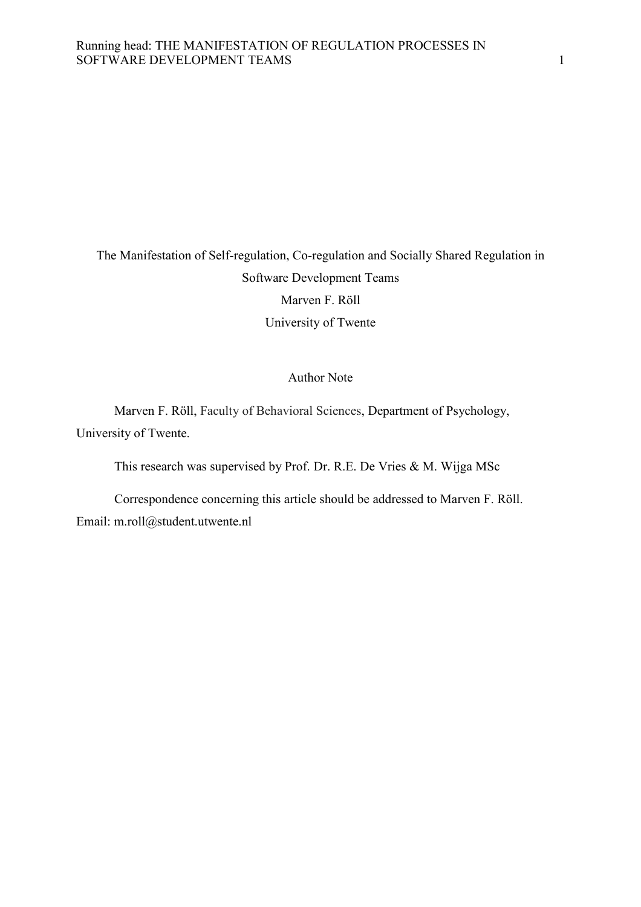# The Manifestation of Self-regulation, Co-regulation and Socially Shared Regulation in Software Development Teams Marven F. Röll University of Twente

#### Author Note

 Marven F. Röll, Faculty of Behavioral Sciences, Department of Psychology, University of Twente.

This research was supervised by Prof. Dr. R.E. De Vries & M. Wijga MSc

 Correspondence concerning this article should be addressed to Marven F. Röll. Email: m.roll@student.utwente.nl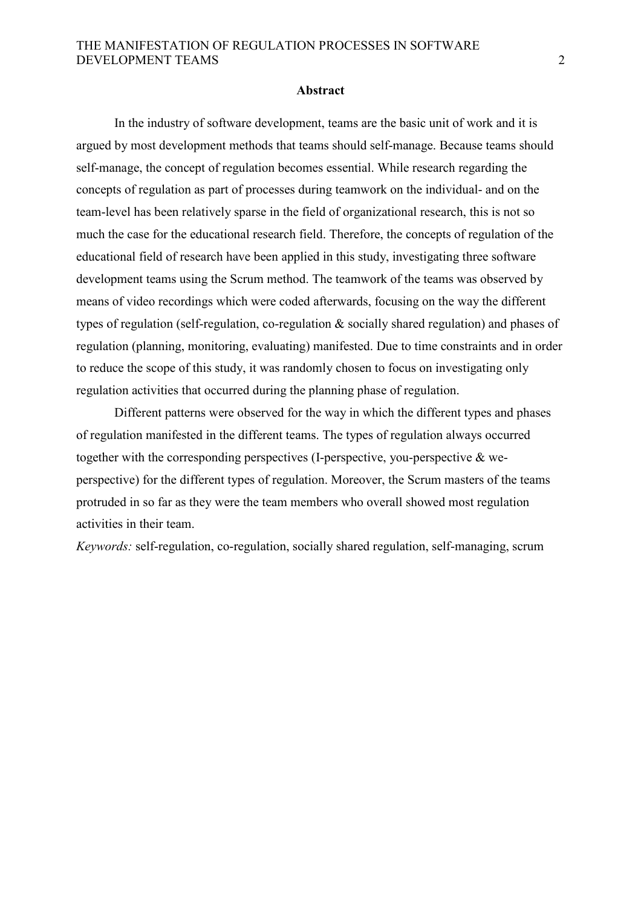#### **Abstract**

In the industry of software development, teams are the basic unit of work and it is argued by most development methods that teams should self-manage. Because teams should self-manage, the concept of regulation becomes essential. While research regarding the concepts of regulation as part of processes during teamwork on the individual- and on the team-level has been relatively sparse in the field of organizational research, this is not so much the case for the educational research field. Therefore, the concepts of regulation of the educational field of research have been applied in this study, investigating three software development teams using the Scrum method. The teamwork of the teams was observed by means of video recordings which were coded afterwards, focusing on the way the different types of regulation (self-regulation, co-regulation & socially shared regulation) and phases of regulation (planning, monitoring, evaluating) manifested. Due to time constraints and in order to reduce the scope of this study, it was randomly chosen to focus on investigating only regulation activities that occurred during the planning phase of regulation.

 Different patterns were observed for the way in which the different types and phases of regulation manifested in the different teams. The types of regulation always occurred together with the corresponding perspectives (I-perspective, you-perspective & weperspective) for the different types of regulation. Moreover, the Scrum masters of the teams protruded in so far as they were the team members who overall showed most regulation activities in their team.

*Keywords:* self-regulation, co-regulation, socially shared regulation, self-managing, scrum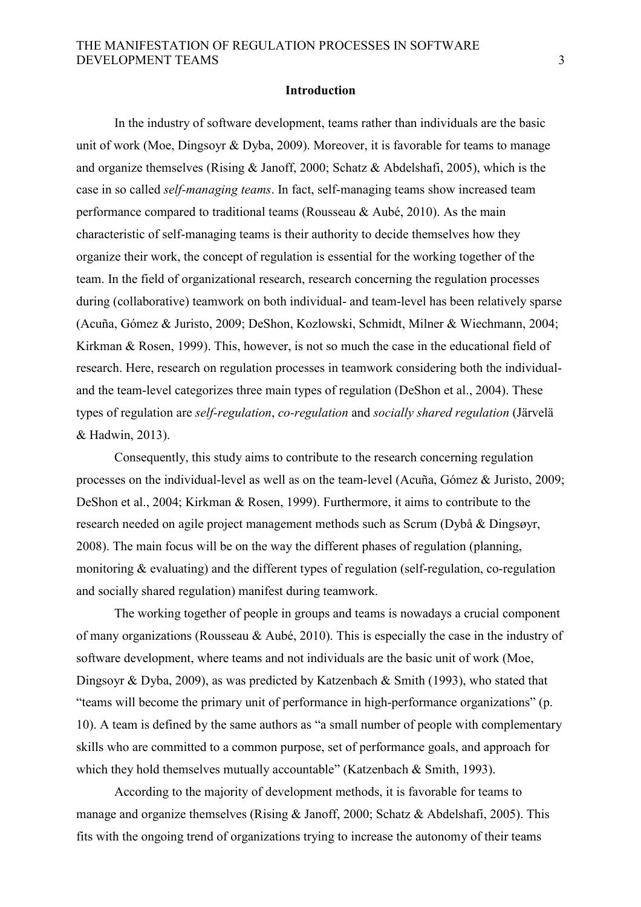#### **Introduction**

 In the industry of software development, teams rather than individuals are the basic unit of work (Moe, Dingsoyr & Dyba, 2009). Moreover, it is favorable for teams to manage and organize themselves (Rising & Janoff, 2000; Schatz & Abdelshafi, 2005), which is the case in so called *self-managing teams*. In fact, self-managing teams show increased team performance compared to traditional teams (Rousseau & Aubé, 2010). As the main characteristic of self-managing teams is their authority to decide themselves how they organize their work, the concept of regulation is essential for the working together of the team. In the field of organizational research, research concerning the regulation processes during (collaborative) teamwork on both individual- and team-level has been relatively sparse (Acuña, Gómez & Juristo, 2009; DeShon, Kozlowski, Schmidt, Milner & Wiechmann, 2004; Kirkman & Rosen, 1999). This, however, is not so much the case in the educational field of research. Here, research on regulation processes in teamwork considering both the individualand the team-level categorizes three main types of regulation (DeShon et al., 2004). These types of regulation are *self-regulation*, *co-regulation* and *socially shared regulation* (Järvelä & Hadwin, 2013).

 Consequently, this study aims to contribute to the research concerning regulation processes on the individual-level as well as on the team-level (Acuña, Gómez & Juristo, 2009; DeShon et al., 2004; Kirkman & Rosen, 1999). Furthermore, it aims to contribute to the research needed on agile project management methods such as Scrum (Dybå & Dingsøyr, 2008). The main focus will be on the way the different phases of regulation (planning, monitoring & evaluating) and the different types of regulation (self-regulation, co-regulation and socially shared regulation) manifest during teamwork.

 The working together of people in groups and teams is nowadays a crucial component of many organizations (Rousseau & Aubé, 2010). This is especially the case in the industry of software development, where teams and not individuals are the basic unit of work (Moe, Dingsoyr & Dyba, 2009), as was predicted by Katzenbach & Smith (1993), who stated that "teams will become the primary unit of performance in high-performance organizations" (p. 10). A team is defined by the same authors as "a small number of people with complementary skills who are committed to a common purpose, set of performance goals, and approach for which they hold themselves mutually accountable" (Katzenbach & Smith, 1993).

 According to the majority of development methods, it is favorable for teams to manage and organize themselves (Rising & Janoff, 2000; Schatz & Abdelshafi, 2005). This fits with the ongoing trend of organizations trying to increase the autonomy of their teams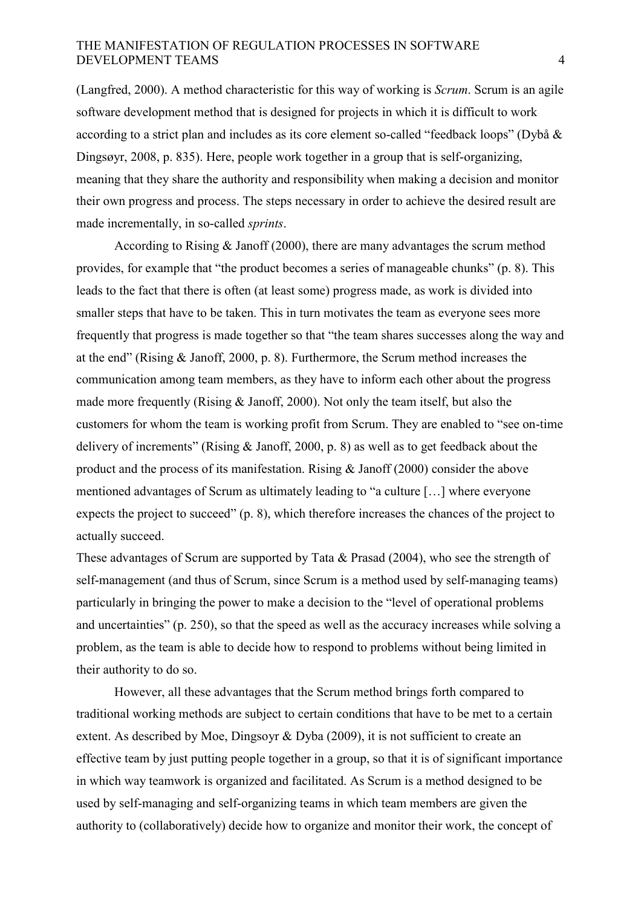(Langfred, 2000). A method characteristic for this way of working is *Scrum*. Scrum is an agile software development method that is designed for projects in which it is difficult to work according to a strict plan and includes as its core element so-called "feedback loops" (Dybå & Dingsøyr, 2008, p. 835). Here, people work together in a group that is self-organizing, meaning that they share the authority and responsibility when making a decision and monitor their own progress and process. The steps necessary in order to achieve the desired result are made incrementally, in so-called *sprints*.

 According to Rising & Janoff (2000), there are many advantages the scrum method provides, for example that "the product becomes a series of manageable chunks" (p. 8). This leads to the fact that there is often (at least some) progress made, as work is divided into smaller steps that have to be taken. This in turn motivates the team as everyone sees more frequently that progress is made together so that "the team shares successes along the way and at the end" (Rising & Janoff, 2000, p. 8). Furthermore, the Scrum method increases the communication among team members, as they have to inform each other about the progress made more frequently (Rising  $& Janoff, 2000$ ). Not only the team itself, but also the customers for whom the team is working profit from Scrum. They are enabled to "see on-time delivery of increments" (Rising & Janoff, 2000, p. 8) as well as to get feedback about the product and the process of its manifestation. Rising & Janoff (2000) consider the above mentioned advantages of Scrum as ultimately leading to "a culture […] where everyone expects the project to succeed" (p. 8), which therefore increases the chances of the project to actually succeed.

These advantages of Scrum are supported by Tata & Prasad (2004), who see the strength of self-management (and thus of Scrum, since Scrum is a method used by self-managing teams) particularly in bringing the power to make a decision to the "level of operational problems and uncertainties" (p. 250), so that the speed as well as the accuracy increases while solving a problem, as the team is able to decide how to respond to problems without being limited in their authority to do so.

 However, all these advantages that the Scrum method brings forth compared to traditional working methods are subject to certain conditions that have to be met to a certain extent. As described by Moe, Dingsovr & Dyba (2009), it is not sufficient to create an effective team by just putting people together in a group, so that it is of significant importance in which way teamwork is organized and facilitated. As Scrum is a method designed to be used by self-managing and self-organizing teams in which team members are given the authority to (collaboratively) decide how to organize and monitor their work, the concept of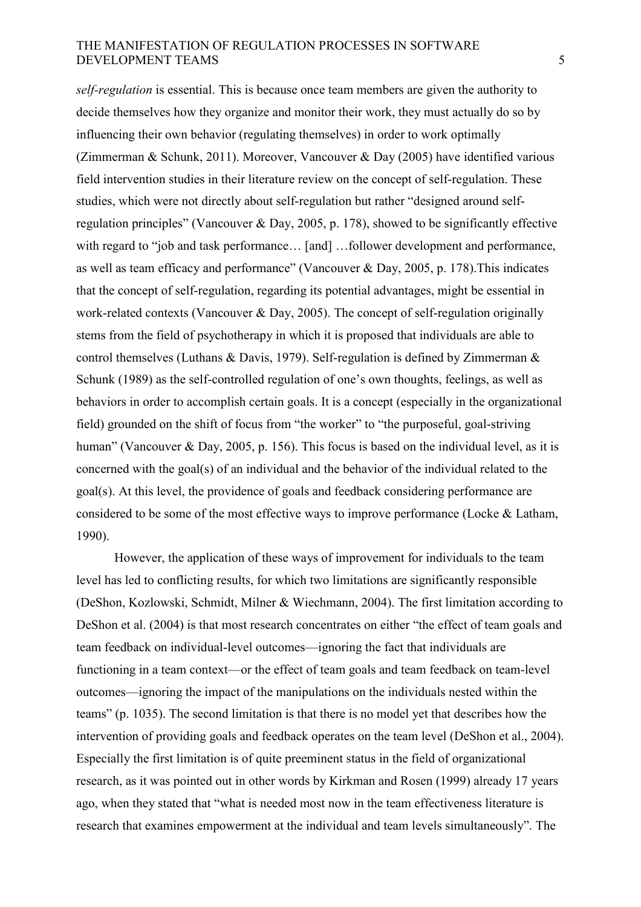*self-regulation* is essential. This is because once team members are given the authority to decide themselves how they organize and monitor their work, they must actually do so by influencing their own behavior (regulating themselves) in order to work optimally (Zimmerman & Schunk, 2011). Moreover, Vancouver & Day (2005) have identified various field intervention studies in their literature review on the concept of self-regulation. These studies, which were not directly about self-regulation but rather "designed around selfregulation principles" (Vancouver & Day, 2005, p. 178), showed to be significantly effective with regard to "job and task performance... [and] ...follower development and performance, as well as team efficacy and performance" (Vancouver & Day, 2005, p. 178).This indicates that the concept of self-regulation, regarding its potential advantages, might be essential in work-related contexts (Vancouver & Day, 2005). The concept of self-regulation originally stems from the field of psychotherapy in which it is proposed that individuals are able to control themselves (Luthans & Davis, 1979). Self-regulation is defined by Zimmerman & Schunk (1989) as the self-controlled regulation of one's own thoughts, feelings, as well as behaviors in order to accomplish certain goals. It is a concept (especially in the organizational field) grounded on the shift of focus from "the worker" to "the purposeful, goal-striving human" (Vancouver & Day, 2005, p. 156). This focus is based on the individual level, as it is concerned with the goal(s) of an individual and the behavior of the individual related to the goal(s). At this level, the providence of goals and feedback considering performance are considered to be some of the most effective ways to improve performance (Locke & Latham, 1990).

 However, the application of these ways of improvement for individuals to the team level has led to conflicting results, for which two limitations are significantly responsible (DeShon, Kozlowski, Schmidt, Milner & Wiechmann, 2004). The first limitation according to DeShon et al. (2004) is that most research concentrates on either "the effect of team goals and team feedback on individual-level outcomes—ignoring the fact that individuals are functioning in a team context—or the effect of team goals and team feedback on team-level outcomes—ignoring the impact of the manipulations on the individuals nested within the teams" (p. 1035). The second limitation is that there is no model yet that describes how the intervention of providing goals and feedback operates on the team level (DeShon et al., 2004). Especially the first limitation is of quite preeminent status in the field of organizational research, as it was pointed out in other words by Kirkman and Rosen (1999) already 17 years ago, when they stated that "what is needed most now in the team effectiveness literature is research that examines empowerment at the individual and team levels simultaneously". The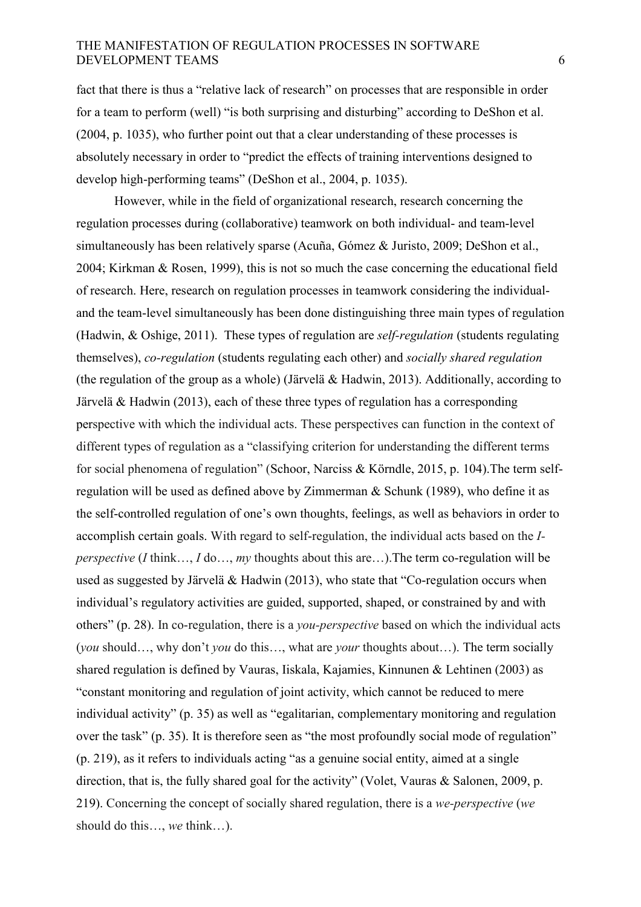fact that there is thus a "relative lack of research" on processes that are responsible in order for a team to perform (well) "is both surprising and disturbing" according to DeShon et al. (2004, p. 1035), who further point out that a clear understanding of these processes is absolutely necessary in order to "predict the effects of training interventions designed to develop high-performing teams" (DeShon et al., 2004, p. 1035).

 However, while in the field of organizational research, research concerning the regulation processes during (collaborative) teamwork on both individual- and team-level simultaneously has been relatively sparse (Acuña, Gómez & Juristo, 2009; DeShon et al., 2004; Kirkman & Rosen, 1999), this is not so much the case concerning the educational field of research. Here, research on regulation processes in teamwork considering the individualand the team-level simultaneously has been done distinguishing three main types of regulation (Hadwin, & Oshige, 2011). These types of regulation are *self-regulation* (students regulating themselves), *co-regulation* (students regulating each other) and *socially shared regulation* (the regulation of the group as a whole) (Järvelä & Hadwin, 2013). Additionally, according to Järvelä & Hadwin (2013), each of these three types of regulation has a corresponding perspective with which the individual acts. These perspectives can function in the context of different types of regulation as a "classifying criterion for understanding the different terms for social phenomena of regulation" (Schoor, Narciss & Körndle, 2015, p. 104).The term selfregulation will be used as defined above by Zimmerman & Schunk (1989), who define it as the self-controlled regulation of one's own thoughts, feelings, as well as behaviors in order to accomplish certain goals. With regard to self-regulation, the individual acts based on the *Iperspective* (*I* think…, *I* do…, *my* thoughts about this are…).The term co-regulation will be used as suggested by Järvelä & Hadwin (2013), who state that "Co-regulation occurs when individual's regulatory activities are guided, supported, shaped, or constrained by and with others" (p. 28). In co-regulation, there is a *you-perspective* based on which the individual acts (*you* should…, why don't *you* do this…, what are *your* thoughts about…). The term socially shared regulation is defined by Vauras, Iiskala, Kajamies, Kinnunen & Lehtinen (2003) as "constant monitoring and regulation of joint activity, which cannot be reduced to mere individual activity" (p. 35) as well as "egalitarian, complementary monitoring and regulation over the task" (p. 35). It is therefore seen as "the most profoundly social mode of regulation" (p. 219), as it refers to individuals acting "as a genuine social entity, aimed at a single direction, that is, the fully shared goal for the activity" (Volet, Vauras & Salonen, 2009, p. 219). Concerning the concept of socially shared regulation, there is a *we-perspective* (*we* should do this…, *we* think…).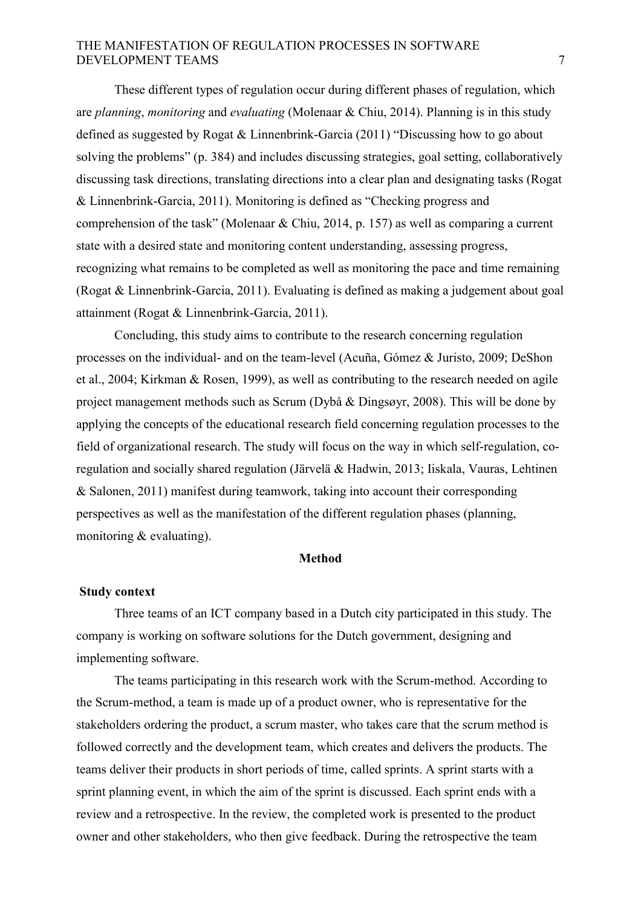These different types of regulation occur during different phases of regulation, which are *planning*, *monitoring* and *evaluating* (Molenaar & Chiu, 2014). Planning is in this study defined as suggested by Rogat & Linnenbrink-Garcia (2011) "Discussing how to go about solving the problems" (p. 384) and includes discussing strategies, goal setting, collaboratively discussing task directions, translating directions into a clear plan and designating tasks (Rogat & Linnenbrink-Garcia, 2011). Monitoring is defined as "Checking progress and comprehension of the task" (Molenaar & Chiu, 2014, p. 157) as well as comparing a current state with a desired state and monitoring content understanding, assessing progress, recognizing what remains to be completed as well as monitoring the pace and time remaining (Rogat & Linnenbrink-Garcia, 2011). Evaluating is defined as making a judgement about goal attainment (Rogat & Linnenbrink-Garcia, 2011).

Concluding, this study aims to contribute to the research concerning regulation processes on the individual- and on the team-level (Acuña, Gómez & Juristo, 2009; DeShon et al., 2004; Kirkman & Rosen, 1999), as well as contributing to the research needed on agile project management methods such as Scrum (Dybå & Dingsøyr, 2008). This will be done by applying the concepts of the educational research field concerning regulation processes to the field of organizational research. The study will focus on the way in which self-regulation, coregulation and socially shared regulation (Järvelä & Hadwin, 2013; Iiskala, Vauras, Lehtinen & Salonen, 2011) manifest during teamwork, taking into account their corresponding perspectives as well as the manifestation of the different regulation phases (planning, monitoring & evaluating).

#### **Method**

#### **Study context**

 Three teams of an ICT company based in a Dutch city participated in this study. The company is working on software solutions for the Dutch government, designing and implementing software.

 The teams participating in this research work with the Scrum-method. According to the Scrum-method, a team is made up of a product owner, who is representative for the stakeholders ordering the product, a scrum master, who takes care that the scrum method is followed correctly and the development team, which creates and delivers the products. The teams deliver their products in short periods of time, called sprints. A sprint starts with a sprint planning event, in which the aim of the sprint is discussed. Each sprint ends with a review and a retrospective. In the review, the completed work is presented to the product owner and other stakeholders, who then give feedback. During the retrospective the team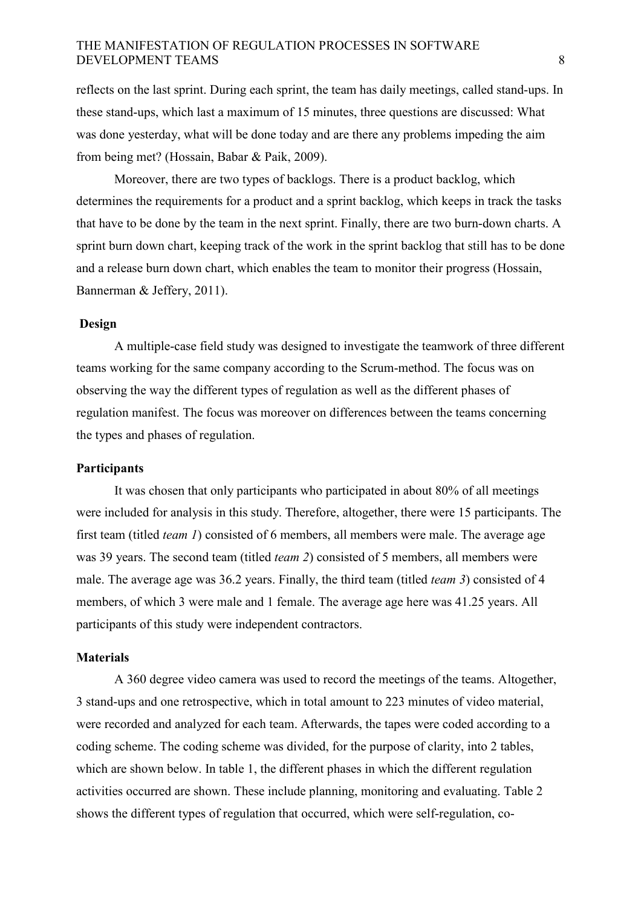reflects on the last sprint. During each sprint, the team has daily meetings, called stand-ups. In these stand-ups, which last a maximum of 15 minutes, three questions are discussed: What was done yesterday, what will be done today and are there any problems impeding the aim from being met? (Hossain, Babar & Paik, 2009).

 Moreover, there are two types of backlogs. There is a product backlog, which determines the requirements for a product and a sprint backlog, which keeps in track the tasks that have to be done by the team in the next sprint. Finally, there are two burn-down charts. A sprint burn down chart, keeping track of the work in the sprint backlog that still has to be done and a release burn down chart, which enables the team to monitor their progress (Hossain, Bannerman & Jeffery, 2011).

### **Design**

 A multiple-case field study was designed to investigate the teamwork of three different teams working for the same company according to the Scrum-method. The focus was on observing the way the different types of regulation as well as the different phases of regulation manifest. The focus was moreover on differences between the teams concerning the types and phases of regulation.

#### **Participants**

 It was chosen that only participants who participated in about 80% of all meetings were included for analysis in this study. Therefore, altogether, there were 15 participants. The first team (titled *team 1*) consisted of 6 members, all members were male. The average age was 39 years. The second team (titled *team 2*) consisted of 5 members, all members were male. The average age was 36.2 years. Finally, the third team (titled *team 3*) consisted of 4 members, of which 3 were male and 1 female. The average age here was 41.25 years. All participants of this study were independent contractors.

#### **Materials**

 A 360 degree video camera was used to record the meetings of the teams. Altogether, 3 stand-ups and one retrospective, which in total amount to 223 minutes of video material, were recorded and analyzed for each team. Afterwards, the tapes were coded according to a coding scheme. The coding scheme was divided, for the purpose of clarity, into 2 tables, which are shown below. In table 1, the different phases in which the different regulation activities occurred are shown. These include planning, monitoring and evaluating. Table 2 shows the different types of regulation that occurred, which were self-regulation, co-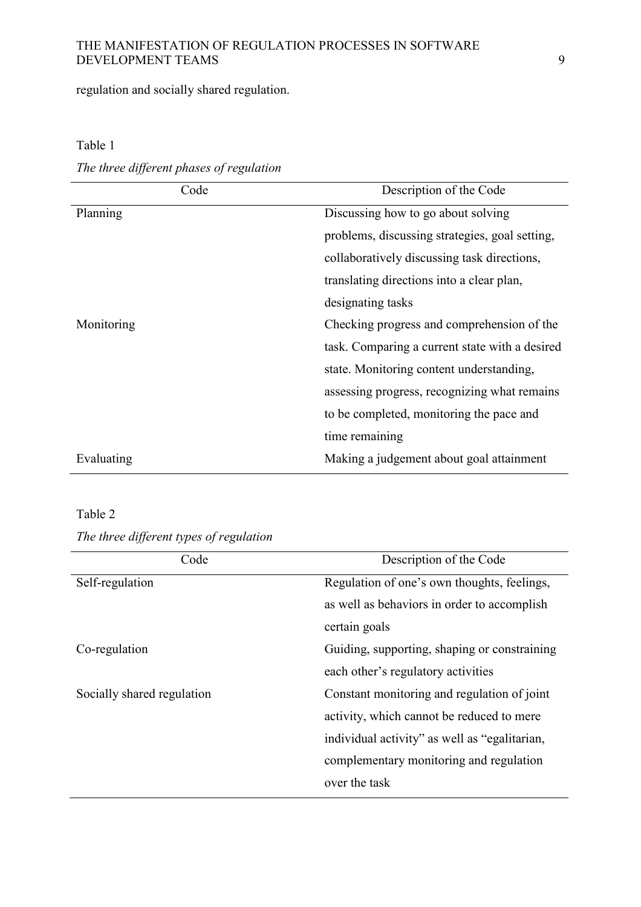regulation and socially shared regulation.

| Code       | Description of the Code                        |
|------------|------------------------------------------------|
| Planning   | Discussing how to go about solving             |
|            | problems, discussing strategies, goal setting, |
|            | collaboratively discussing task directions,    |
|            | translating directions into a clear plan,      |
|            | designating tasks                              |
| Monitoring | Checking progress and comprehension of the     |
|            | task. Comparing a current state with a desired |
|            | state. Monitoring content understanding,       |
|            | assessing progress, recognizing what remains   |
|            | to be completed, monitoring the pace and       |
|            | time remaining                                 |
| Evaluating | Making a judgement about goal attainment       |

## Table 1

*The three different phases of regulation* 

# Table 2

*The three different types of regulation* 

| Code                       | Description of the Code                       |  |
|----------------------------|-----------------------------------------------|--|
| Self-regulation            | Regulation of one's own thoughts, feelings,   |  |
|                            | as well as behaviors in order to accomplish   |  |
|                            | certain goals                                 |  |
| Co-regulation              | Guiding, supporting, shaping or constraining  |  |
|                            | each other's regulatory activities            |  |
| Socially shared regulation | Constant monitoring and regulation of joint   |  |
|                            | activity, which cannot be reduced to mere     |  |
|                            | individual activity" as well as "egalitarian, |  |
|                            | complementary monitoring and regulation       |  |
|                            | over the task                                 |  |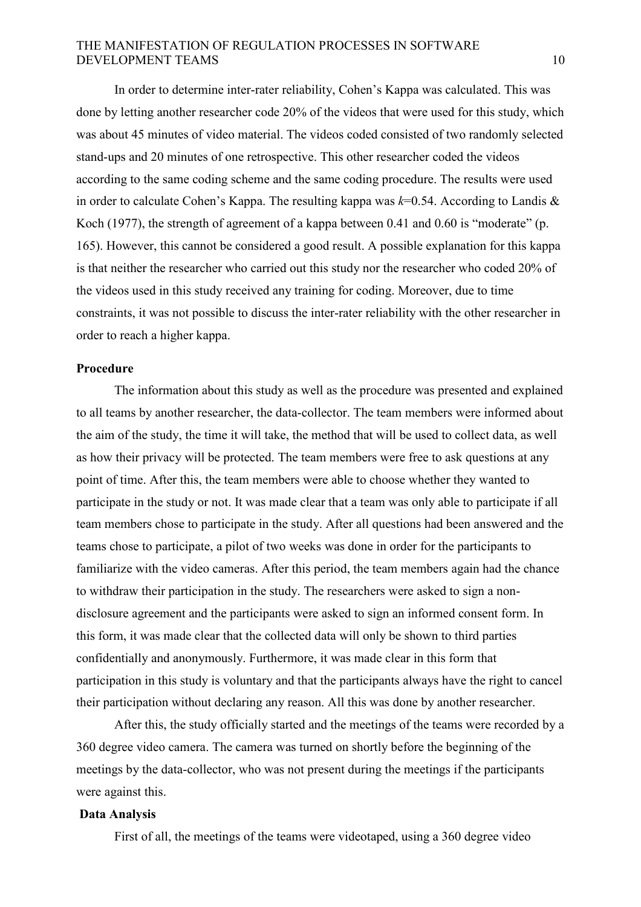In order to determine inter-rater reliability, Cohen's Kappa was calculated. This was done by letting another researcher code 20% of the videos that were used for this study, which was about 45 minutes of video material. The videos coded consisted of two randomly selected stand-ups and 20 minutes of one retrospective. This other researcher coded the videos according to the same coding scheme and the same coding procedure. The results were used in order to calculate Cohen's Kappa. The resulting kappa was *k*=0.54. According to Landis & Koch (1977), the strength of agreement of a kappa between 0.41 and 0.60 is "moderate" (p. 165). However, this cannot be considered a good result. A possible explanation for this kappa is that neither the researcher who carried out this study nor the researcher who coded 20% of the videos used in this study received any training for coding. Moreover, due to time constraints, it was not possible to discuss the inter-rater reliability with the other researcher in order to reach a higher kappa.

#### **Procedure**

 The information about this study as well as the procedure was presented and explained to all teams by another researcher, the data-collector. The team members were informed about the aim of the study, the time it will take, the method that will be used to collect data, as well as how their privacy will be protected. The team members were free to ask questions at any point of time. After this, the team members were able to choose whether they wanted to participate in the study or not. It was made clear that a team was only able to participate if all team members chose to participate in the study. After all questions had been answered and the teams chose to participate, a pilot of two weeks was done in order for the participants to familiarize with the video cameras. After this period, the team members again had the chance to withdraw their participation in the study. The researchers were asked to sign a nondisclosure agreement and the participants were asked to sign an informed consent form. In this form, it was made clear that the collected data will only be shown to third parties confidentially and anonymously. Furthermore, it was made clear in this form that participation in this study is voluntary and that the participants always have the right to cancel their participation without declaring any reason. All this was done by another researcher.

 After this, the study officially started and the meetings of the teams were recorded by a 360 degree video camera. The camera was turned on shortly before the beginning of the meetings by the data-collector, who was not present during the meetings if the participants were against this.

#### **Data Analysis**

First of all, the meetings of the teams were videotaped, using a 360 degree video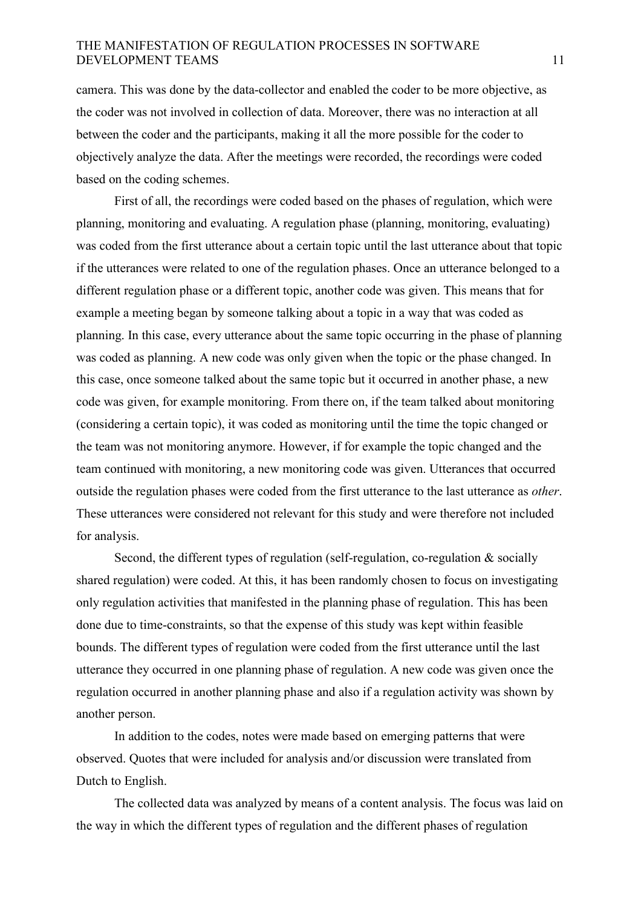camera. This was done by the data-collector and enabled the coder to be more objective, as the coder was not involved in collection of data. Moreover, there was no interaction at all between the coder and the participants, making it all the more possible for the coder to objectively analyze the data. After the meetings were recorded, the recordings were coded based on the coding schemes.

 First of all, the recordings were coded based on the phases of regulation, which were planning, monitoring and evaluating. A regulation phase (planning, monitoring, evaluating) was coded from the first utterance about a certain topic until the last utterance about that topic if the utterances were related to one of the regulation phases. Once an utterance belonged to a different regulation phase or a different topic, another code was given. This means that for example a meeting began by someone talking about a topic in a way that was coded as planning. In this case, every utterance about the same topic occurring in the phase of planning was coded as planning. A new code was only given when the topic or the phase changed. In this case, once someone talked about the same topic but it occurred in another phase, a new code was given, for example monitoring. From there on, if the team talked about monitoring (considering a certain topic), it was coded as monitoring until the time the topic changed or the team was not monitoring anymore. However, if for example the topic changed and the team continued with monitoring, a new monitoring code was given. Utterances that occurred outside the regulation phases were coded from the first utterance to the last utterance as *other*. These utterances were considered not relevant for this study and were therefore not included for analysis.

Second, the different types of regulation (self-regulation, co-regulation & socially shared regulation) were coded. At this, it has been randomly chosen to focus on investigating only regulation activities that manifested in the planning phase of regulation. This has been done due to time-constraints, so that the expense of this study was kept within feasible bounds. The different types of regulation were coded from the first utterance until the last utterance they occurred in one planning phase of regulation. A new code was given once the regulation occurred in another planning phase and also if a regulation activity was shown by another person.

 In addition to the codes, notes were made based on emerging patterns that were observed. Quotes that were included for analysis and/or discussion were translated from Dutch to English.

 The collected data was analyzed by means of a content analysis. The focus was laid on the way in which the different types of regulation and the different phases of regulation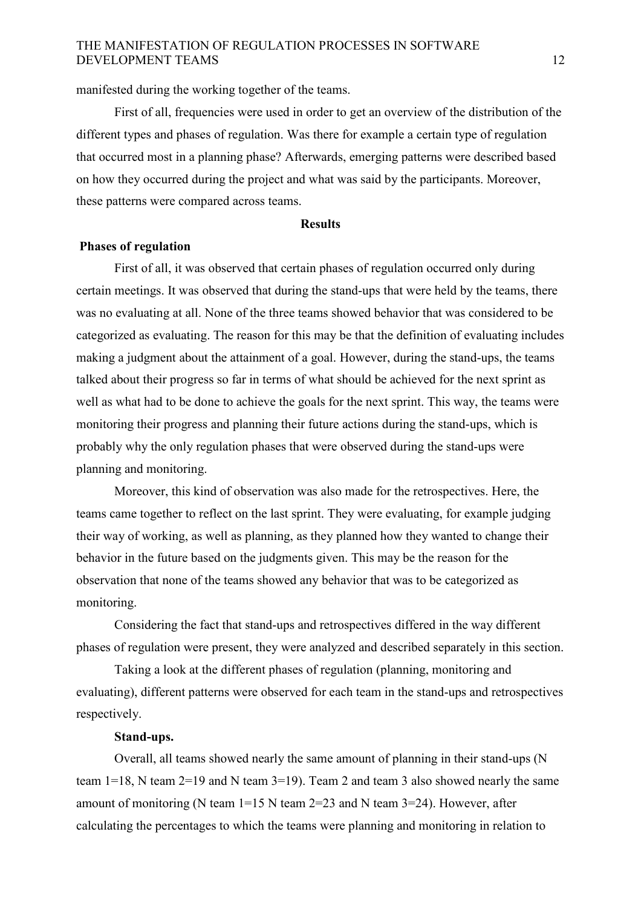manifested during the working together of the teams.

 First of all, frequencies were used in order to get an overview of the distribution of the different types and phases of regulation. Was there for example a certain type of regulation that occurred most in a planning phase? Afterwards, emerging patterns were described based on how they occurred during the project and what was said by the participants. Moreover, these patterns were compared across teams.

#### **Results**

#### **Phases of regulation**

First of all, it was observed that certain phases of regulation occurred only during certain meetings. It was observed that during the stand-ups that were held by the teams, there was no evaluating at all. None of the three teams showed behavior that was considered to be categorized as evaluating. The reason for this may be that the definition of evaluating includes making a judgment about the attainment of a goal. However, during the stand-ups, the teams talked about their progress so far in terms of what should be achieved for the next sprint as well as what had to be done to achieve the goals for the next sprint. This way, the teams were monitoring their progress and planning their future actions during the stand-ups, which is probably why the only regulation phases that were observed during the stand-ups were planning and monitoring.

 Moreover, this kind of observation was also made for the retrospectives. Here, the teams came together to reflect on the last sprint. They were evaluating, for example judging their way of working, as well as planning, as they planned how they wanted to change their behavior in the future based on the judgments given. This may be the reason for the observation that none of the teams showed any behavior that was to be categorized as monitoring.

 Considering the fact that stand-ups and retrospectives differed in the way different phases of regulation were present, they were analyzed and described separately in this section.

 Taking a look at the different phases of regulation (planning, monitoring and evaluating), different patterns were observed for each team in the stand-ups and retrospectives respectively.

#### **Stand-ups.**

Overall, all teams showed nearly the same amount of planning in their stand-ups (N team 1=18, N team 2=19 and N team 3=19). Team 2 and team 3 also showed nearly the same amount of monitoring (N team 1=15 N team 2=23 and N team 3=24). However, after calculating the percentages to which the teams were planning and monitoring in relation to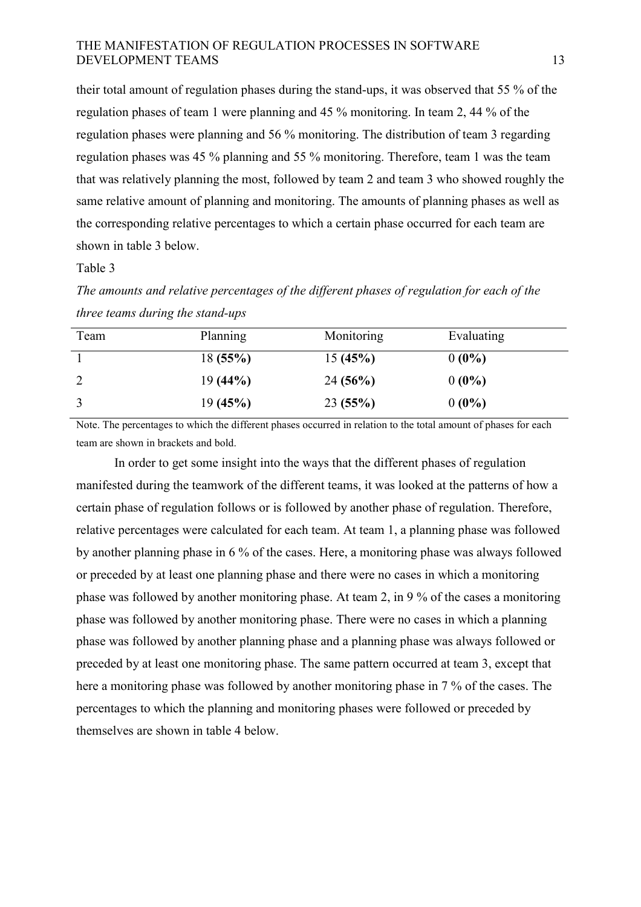their total amount of regulation phases during the stand-ups, it was observed that 55 % of the regulation phases of team 1 were planning and 45 % monitoring. In team 2, 44 % of the regulation phases were planning and 56 % monitoring. The distribution of team 3 regarding regulation phases was 45 % planning and 55 % monitoring. Therefore, team 1 was the team that was relatively planning the most, followed by team 2 and team 3 who showed roughly the same relative amount of planning and monitoring. The amounts of planning phases as well as the corresponding relative percentages to which a certain phase occurred for each team are shown in table 3 below.

Table 3

*The amounts and relative percentages of the different phases of regulation for each of the three teams during the stand-ups* 

| Team           | Planning   | Monitoring | Evaluating |
|----------------|------------|------------|------------|
|                | 18(55%)    | 15(45%)    | $0(0\%)$   |
| $\overline{2}$ | $19(44\%)$ | 24(56%)    | $0(0\%)$   |
|                | 19(45%)    | 23(55%)    | $0(0\%)$   |

Note. The percentages to which the different phases occurred in relation to the total amount of phases for each team are shown in brackets and bold.

 In order to get some insight into the ways that the different phases of regulation manifested during the teamwork of the different teams, it was looked at the patterns of how a certain phase of regulation follows or is followed by another phase of regulation. Therefore, relative percentages were calculated for each team. At team 1, a planning phase was followed by another planning phase in 6 % of the cases. Here, a monitoring phase was always followed or preceded by at least one planning phase and there were no cases in which a monitoring phase was followed by another monitoring phase. At team 2, in 9 % of the cases a monitoring phase was followed by another monitoring phase. There were no cases in which a planning phase was followed by another planning phase and a planning phase was always followed or preceded by at least one monitoring phase. The same pattern occurred at team 3, except that here a monitoring phase was followed by another monitoring phase in 7 % of the cases. The percentages to which the planning and monitoring phases were followed or preceded by themselves are shown in table 4 below.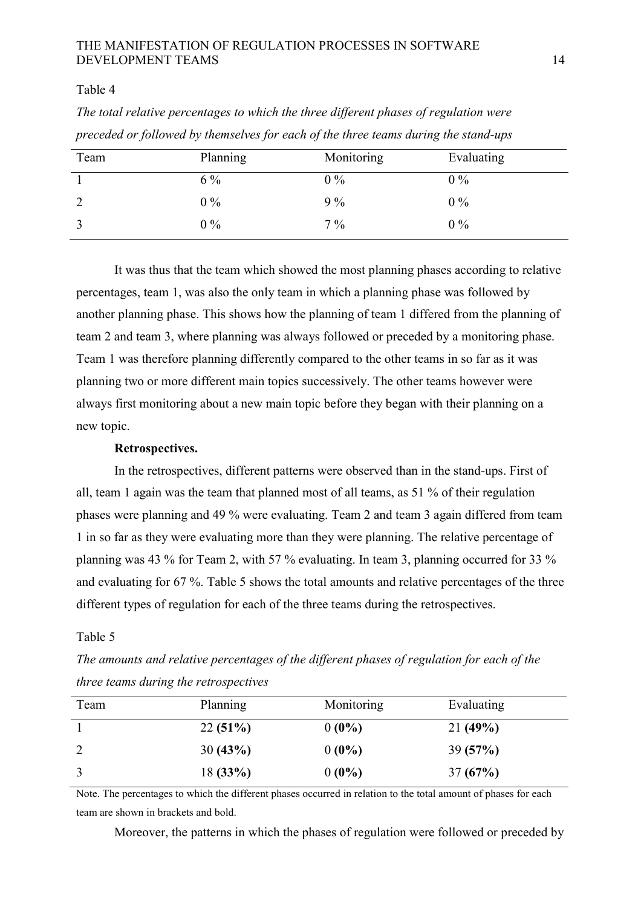#### Table 4

| preceded or followed by themselves for each of the three teams and the stand aps |          |            |            |
|----------------------------------------------------------------------------------|----------|------------|------------|
| Team                                                                             | Planning | Monitoring | Evaluating |
|                                                                                  | $6\%$    | $0\%$      | $0\%$      |
| $\overline{2}$                                                                   | $0\%$    | $9\%$      | $0\%$      |
|                                                                                  | $0\%$    | $7\%$      | $0\%$      |

*The total relative percentages to which the three different phases of regulation were preceded or followed by themselves for each of the three teams during the stand-ups* 

 It was thus that the team which showed the most planning phases according to relative percentages, team 1, was also the only team in which a planning phase was followed by another planning phase. This shows how the planning of team 1 differed from the planning of team 2 and team 3, where planning was always followed or preceded by a monitoring phase. Team 1 was therefore planning differently compared to the other teams in so far as it was planning two or more different main topics successively. The other teams however were always first monitoring about a new main topic before they began with their planning on a new topic.

#### **Retrospectives.**

In the retrospectives, different patterns were observed than in the stand-ups. First of all, team 1 again was the team that planned most of all teams, as 51 % of their regulation phases were planning and 49 % were evaluating. Team 2 and team 3 again differed from team 1 in so far as they were evaluating more than they were planning. The relative percentage of planning was 43 % for Team 2, with 57 % evaluating. In team 3, planning occurred for 33 % and evaluating for 67 %. Table 5 shows the total amounts and relative percentages of the three different types of regulation for each of the three teams during the retrospectives.

#### Table 5

*The amounts and relative percentages of the different phases of regulation for each of the three teams during the retrospectives* 

| Team | Planning | Monitoring | Evaluating |
|------|----------|------------|------------|
|      | 22(51%)  | $0(0\%)$   | 21(49%)    |
|      | 30(43%)  | $0(0\%)$   | 39(57%)    |
|      | 18(33%)  | $0(0\%)$   | 37(67%)    |

Note. The percentages to which the different phases occurred in relation to the total amount of phases for each team are shown in brackets and bold.

Moreover, the patterns in which the phases of regulation were followed or preceded by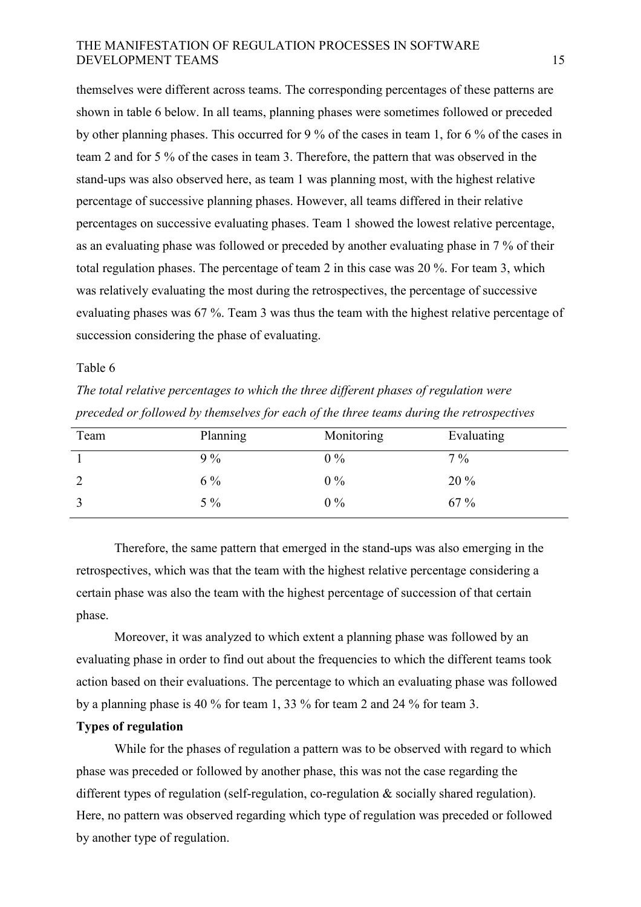themselves were different across teams. The corresponding percentages of these patterns are shown in table 6 below. In all teams, planning phases were sometimes followed or preceded by other planning phases. This occurred for 9 % of the cases in team 1, for 6 % of the cases in team 2 and for 5 % of the cases in team 3. Therefore, the pattern that was observed in the stand-ups was also observed here, as team 1 was planning most, with the highest relative percentage of successive planning phases. However, all teams differed in their relative percentages on successive evaluating phases. Team 1 showed the lowest relative percentage, as an evaluating phase was followed or preceded by another evaluating phase in 7 % of their total regulation phases. The percentage of team 2 in this case was 20 %. For team 3, which was relatively evaluating the most during the retrospectives, the percentage of successive evaluating phases was 67 %. Team 3 was thus the team with the highest relative percentage of succession considering the phase of evaluating.

#### Table 6

*The total relative percentages to which the three different phases of regulation were preceded or followed by themselves for each of the three teams during the retrospectives* 

| Team | Planning | Monitoring | Evaluating |
|------|----------|------------|------------|
|      | $9\%$    | $0\%$      | $7\%$      |
|      | $6\%$    | $0\%$      | 20 %       |
|      | $5\%$    | $0\%$      | 67 %       |

 Therefore, the same pattern that emerged in the stand-ups was also emerging in the retrospectives, which was that the team with the highest relative percentage considering a certain phase was also the team with the highest percentage of succession of that certain phase.

 Moreover, it was analyzed to which extent a planning phase was followed by an evaluating phase in order to find out about the frequencies to which the different teams took action based on their evaluations. The percentage to which an evaluating phase was followed by a planning phase is 40 % for team 1, 33 % for team 2 and 24 % for team 3.

### **Types of regulation**

While for the phases of regulation a pattern was to be observed with regard to which phase was preceded or followed by another phase, this was not the case regarding the different types of regulation (self-regulation, co-regulation  $\&$  socially shared regulation). Here, no pattern was observed regarding which type of regulation was preceded or followed by another type of regulation.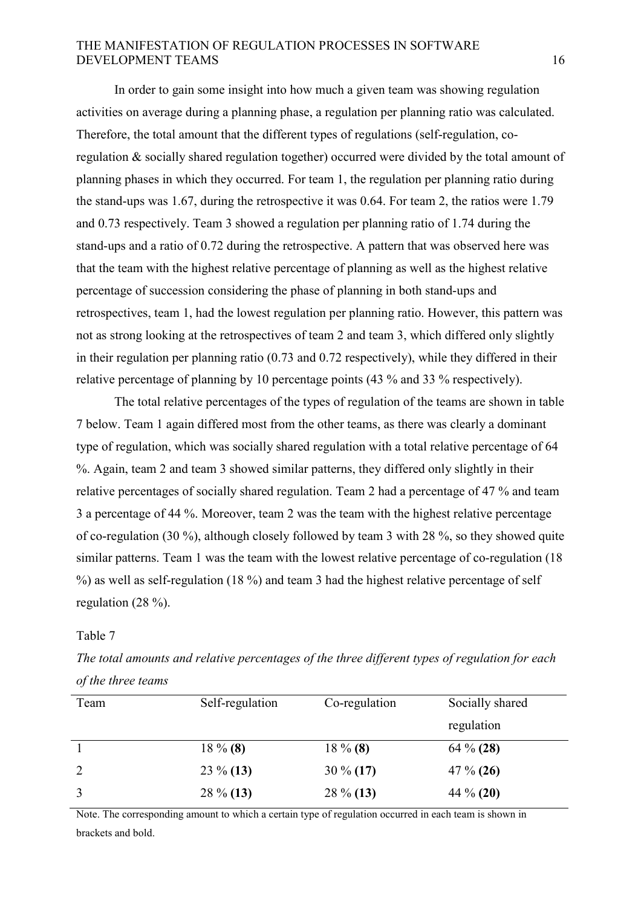In order to gain some insight into how much a given team was showing regulation activities on average during a planning phase, a regulation per planning ratio was calculated. Therefore, the total amount that the different types of regulations (self-regulation, coregulation & socially shared regulation together) occurred were divided by the total amount of planning phases in which they occurred. For team 1, the regulation per planning ratio during the stand-ups was 1.67, during the retrospective it was 0.64. For team 2, the ratios were 1.79 and 0.73 respectively. Team 3 showed a regulation per planning ratio of 1.74 during the stand-ups and a ratio of 0.72 during the retrospective. A pattern that was observed here was that the team with the highest relative percentage of planning as well as the highest relative percentage of succession considering the phase of planning in both stand-ups and retrospectives, team 1, had the lowest regulation per planning ratio. However, this pattern was not as strong looking at the retrospectives of team 2 and team 3, which differed only slightly in their regulation per planning ratio (0.73 and 0.72 respectively), while they differed in their relative percentage of planning by 10 percentage points (43 % and 33 % respectively).

 The total relative percentages of the types of regulation of the teams are shown in table 7 below. Team 1 again differed most from the other teams, as there was clearly a dominant type of regulation, which was socially shared regulation with a total relative percentage of 64 %. Again, team 2 and team 3 showed similar patterns, they differed only slightly in their relative percentages of socially shared regulation. Team 2 had a percentage of 47 % and team 3 a percentage of 44 %. Moreover, team 2 was the team with the highest relative percentage of co-regulation (30 %), although closely followed by team 3 with 28 %, so they showed quite similar patterns. Team 1 was the team with the lowest relative percentage of co-regulation (18 %) as well as self-regulation (18 %) and team 3 had the highest relative percentage of self regulation (28 %).

#### Table 7

| $\sigma$ , $\sigma$ , $\sigma$ , $\sigma$ , $\sigma$ , $\sigma$ , $\sigma$ , $\sigma$ , $\sigma$ |                 |               |                 |
|--------------------------------------------------------------------------------------------------|-----------------|---------------|-----------------|
| Team                                                                                             | Self-regulation | Co-regulation | Socially shared |
|                                                                                                  |                 |               | regulation      |
|                                                                                                  | $18\%$ (8)      | $18\%$ (8)    | 64 $\%$ (28)    |
| 2                                                                                                | $23\%$ (13)     | $30\% (17)$   | $47\% (26)$     |
| 3                                                                                                | $28\%$ (13)     | $28\%$ (13)   | 44 $\%$ (20)    |

*The total amounts and relative percentages of the three different types of regulation for each of the three teams* 

Note. The corresponding amount to which a certain type of regulation occurred in each team is shown in brackets and bold.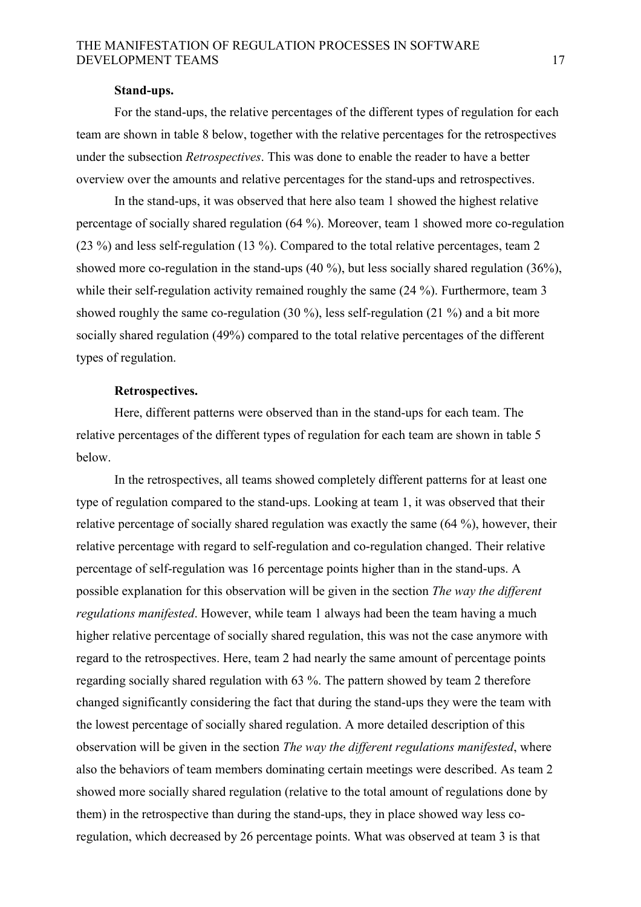#### **Stand-ups.**

 For the stand-ups, the relative percentages of the different types of regulation for each team are shown in table 8 below, together with the relative percentages for the retrospectives under the subsection *Retrospectives*. This was done to enable the reader to have a better overview over the amounts and relative percentages for the stand-ups and retrospectives.

 In the stand-ups, it was observed that here also team 1 showed the highest relative percentage of socially shared regulation (64 %). Moreover, team 1 showed more co-regulation (23 %) and less self-regulation (13 %). Compared to the total relative percentages, team 2 showed more co-regulation in the stand-ups (40 %), but less socially shared regulation (36%), while their self-regulation activity remained roughly the same (24 %). Furthermore, team 3 showed roughly the same co-regulation (30 %), less self-regulation (21 %) and a bit more socially shared regulation (49%) compared to the total relative percentages of the different types of regulation.

#### **Retrospectives.**

Here, different patterns were observed than in the stand-ups for each team. The relative percentages of the different types of regulation for each team are shown in table 5 below.

 In the retrospectives, all teams showed completely different patterns for at least one type of regulation compared to the stand-ups. Looking at team 1, it was observed that their relative percentage of socially shared regulation was exactly the same (64 %), however, their relative percentage with regard to self-regulation and co-regulation changed. Their relative percentage of self-regulation was 16 percentage points higher than in the stand-ups. A possible explanation for this observation will be given in the section *The way the different regulations manifested*. However, while team 1 always had been the team having a much higher relative percentage of socially shared regulation, this was not the case anymore with regard to the retrospectives. Here, team 2 had nearly the same amount of percentage points regarding socially shared regulation with 63 %. The pattern showed by team 2 therefore changed significantly considering the fact that during the stand-ups they were the team with the lowest percentage of socially shared regulation. A more detailed description of this observation will be given in the section *The way the different regulations manifested*, where also the behaviors of team members dominating certain meetings were described. As team 2 showed more socially shared regulation (relative to the total amount of regulations done by them) in the retrospective than during the stand-ups, they in place showed way less coregulation, which decreased by 26 percentage points. What was observed at team 3 is that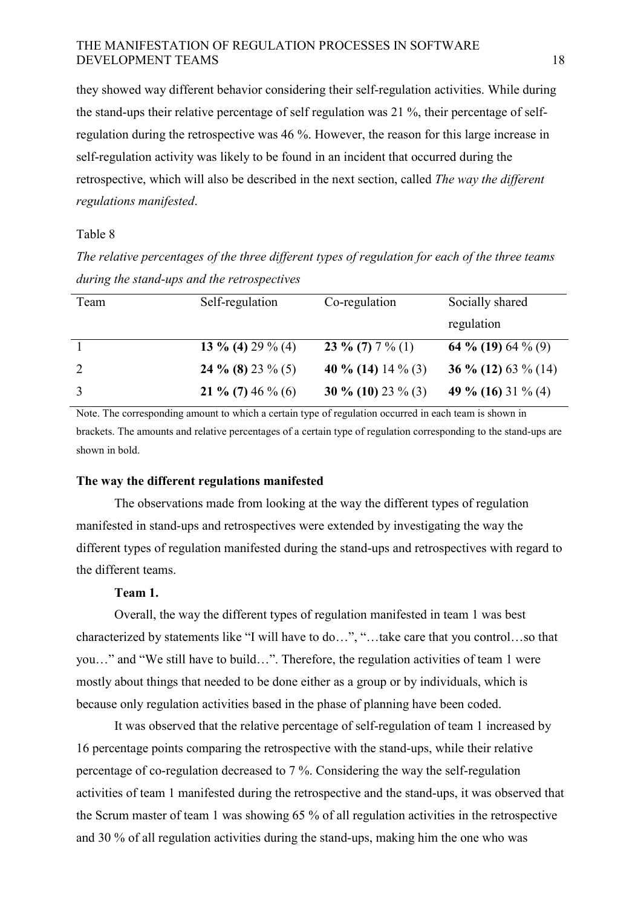they showed way different behavior considering their self-regulation activities. While during the stand-ups their relative percentage of self regulation was 21 %, their percentage of selfregulation during the retrospective was 46 %. However, the reason for this large increase in self-regulation activity was likely to be found in an incident that occurred during the retrospective, which will also be described in the next section, called *The way the different regulations manifested*.

### Table 8

*The relative percentages of the three different types of regulation for each of the three teams during the stand-ups and the retrospectives* 

| Team | Self-regulation   | Co-regulation      | Socially shared     |
|------|-------------------|--------------------|---------------------|
|      |                   |                    | regulation          |
|      | 13 % (4) 29 % (4) | 23 % (7) $7\%$ (1) | 64 % (19) 64 % (9)  |
| 2    | 24 % (8) 23 % (5) | 40 % (14) 14 % (3) | 36 % (12) 63 % (14) |
| 3    | 21 % (7) 46 % (6) | 30 % (10) 23 % (3) | 49 % (16) 31 % (4)  |

Note. The corresponding amount to which a certain type of regulation occurred in each team is shown in brackets. The amounts and relative percentages of a certain type of regulation corresponding to the stand-ups are shown in bold.

#### **The way the different regulations manifested**

The observations made from looking at the way the different types of regulation manifested in stand-ups and retrospectives were extended by investigating the way the different types of regulation manifested during the stand-ups and retrospectives with regard to the different teams.

#### **Team 1.**

Overall, the way the different types of regulation manifested in team 1 was best characterized by statements like "I will have to do…", "…take care that you control…so that you…" and "We still have to build…". Therefore, the regulation activities of team 1 were mostly about things that needed to be done either as a group or by individuals, which is because only regulation activities based in the phase of planning have been coded.

 It was observed that the relative percentage of self-regulation of team 1 increased by 16 percentage points comparing the retrospective with the stand-ups, while their relative percentage of co-regulation decreased to 7 %. Considering the way the self-regulation activities of team 1 manifested during the retrospective and the stand-ups, it was observed that the Scrum master of team 1 was showing 65 % of all regulation activities in the retrospective and 30 % of all regulation activities during the stand-ups, making him the one who was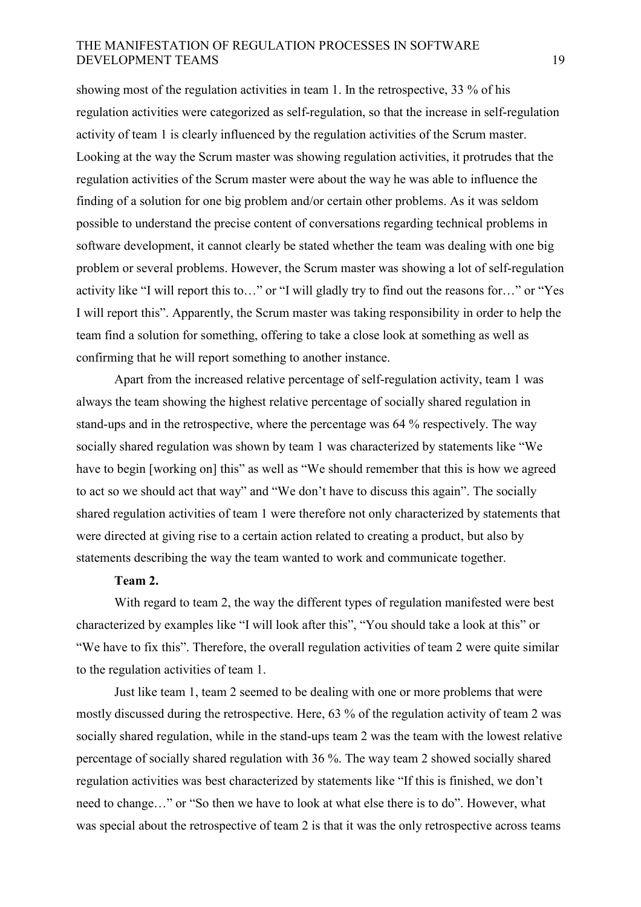showing most of the regulation activities in team 1. In the retrospective, 33 % of his regulation activities were categorized as self-regulation, so that the increase in self-regulation activity of team 1 is clearly influenced by the regulation activities of the Scrum master. Looking at the way the Scrum master was showing regulation activities, it protrudes that the regulation activities of the Scrum master were about the way he was able to influence the finding of a solution for one big problem and/or certain other problems. As it was seldom possible to understand the precise content of conversations regarding technical problems in software development, it cannot clearly be stated whether the team was dealing with one big problem or several problems. However, the Scrum master was showing a lot of self-regulation activity like "I will report this to…" or "I will gladly try to find out the reasons for…" or "Yes I will report this". Apparently, the Scrum master was taking responsibility in order to help the team find a solution for something, offering to take a close look at something as well as confirming that he will report something to another instance.

 Apart from the increased relative percentage of self-regulation activity, team 1 was always the team showing the highest relative percentage of socially shared regulation in stand-ups and in the retrospective, where the percentage was 64 % respectively. The way socially shared regulation was shown by team 1 was characterized by statements like "We have to begin [working on] this" as well as "We should remember that this is how we agreed to act so we should act that way" and "We don't have to discuss this again". The socially shared regulation activities of team 1 were therefore not only characterized by statements that were directed at giving rise to a certain action related to creating a product, but also by statements describing the way the team wanted to work and communicate together.

#### **Team 2.**

 With regard to team 2, the way the different types of regulation manifested were best characterized by examples like "I will look after this", "You should take a look at this" or "We have to fix this". Therefore, the overall regulation activities of team 2 were quite similar to the regulation activities of team 1.

 Just like team 1, team 2 seemed to be dealing with one or more problems that were mostly discussed during the retrospective. Here, 63 % of the regulation activity of team 2 was socially shared regulation, while in the stand-ups team 2 was the team with the lowest relative percentage of socially shared regulation with 36 %. The way team 2 showed socially shared regulation activities was best characterized by statements like "If this is finished, we don't need to change…" or "So then we have to look at what else there is to do". However, what was special about the retrospective of team 2 is that it was the only retrospective across teams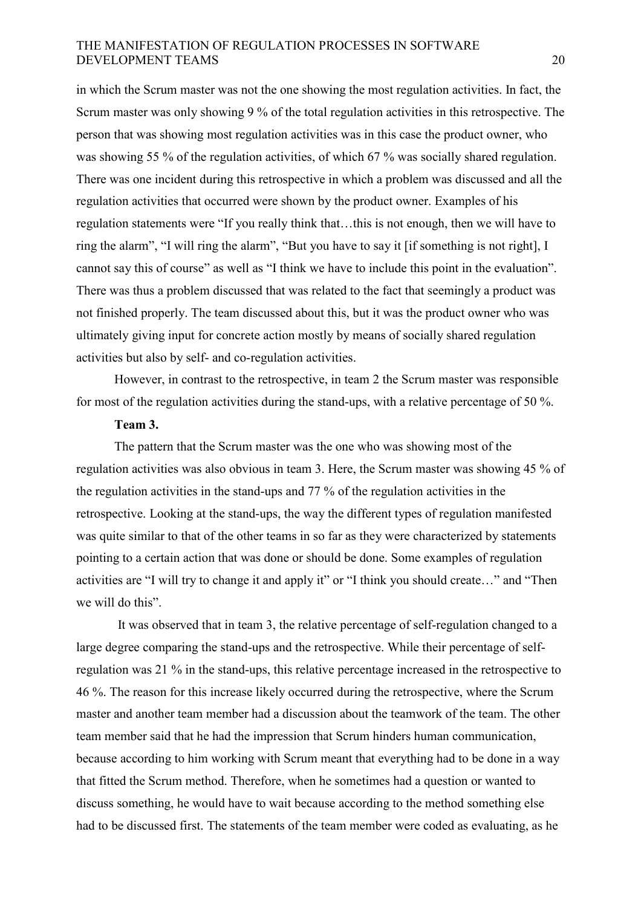in which the Scrum master was not the one showing the most regulation activities. In fact, the Scrum master was only showing 9 % of the total regulation activities in this retrospective. The person that was showing most regulation activities was in this case the product owner, who was showing 55 % of the regulation activities, of which 67 % was socially shared regulation. There was one incident during this retrospective in which a problem was discussed and all the regulation activities that occurred were shown by the product owner. Examples of his regulation statements were "If you really think that…this is not enough, then we will have to ring the alarm", "I will ring the alarm", "But you have to say it [if something is not right], I cannot say this of course" as well as "I think we have to include this point in the evaluation". There was thus a problem discussed that was related to the fact that seemingly a product was not finished properly. The team discussed about this, but it was the product owner who was ultimately giving input for concrete action mostly by means of socially shared regulation activities but also by self- and co-regulation activities.

 However, in contrast to the retrospective, in team 2 the Scrum master was responsible for most of the regulation activities during the stand-ups, with a relative percentage of 50 %.

### **Team 3.**

 The pattern that the Scrum master was the one who was showing most of the regulation activities was also obvious in team 3. Here, the Scrum master was showing 45 % of the regulation activities in the stand-ups and 77 % of the regulation activities in the retrospective. Looking at the stand-ups, the way the different types of regulation manifested was quite similar to that of the other teams in so far as they were characterized by statements pointing to a certain action that was done or should be done. Some examples of regulation activities are "I will try to change it and apply it" or "I think you should create…" and "Then we will do this".

 It was observed that in team 3, the relative percentage of self-regulation changed to a large degree comparing the stand-ups and the retrospective. While their percentage of selfregulation was 21 % in the stand-ups, this relative percentage increased in the retrospective to 46 %. The reason for this increase likely occurred during the retrospective, where the Scrum master and another team member had a discussion about the teamwork of the team. The other team member said that he had the impression that Scrum hinders human communication, because according to him working with Scrum meant that everything had to be done in a way that fitted the Scrum method. Therefore, when he sometimes had a question or wanted to discuss something, he would have to wait because according to the method something else had to be discussed first. The statements of the team member were coded as evaluating, as he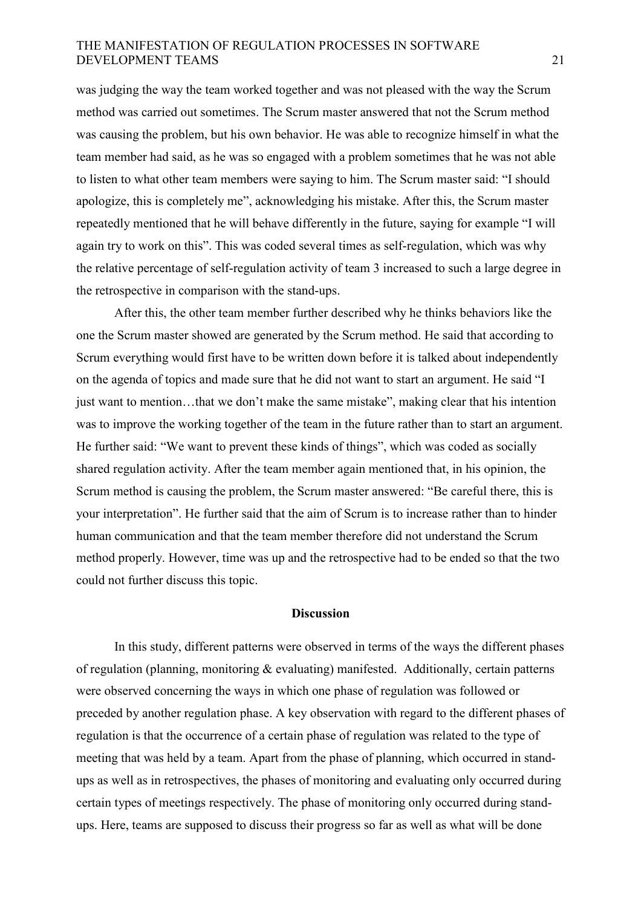was judging the way the team worked together and was not pleased with the way the Scrum method was carried out sometimes. The Scrum master answered that not the Scrum method was causing the problem, but his own behavior. He was able to recognize himself in what the team member had said, as he was so engaged with a problem sometimes that he was not able to listen to what other team members were saying to him. The Scrum master said: "I should apologize, this is completely me", acknowledging his mistake. After this, the Scrum master repeatedly mentioned that he will behave differently in the future, saying for example "I will again try to work on this". This was coded several times as self-regulation, which was why the relative percentage of self-regulation activity of team 3 increased to such a large degree in the retrospective in comparison with the stand-ups.

 After this, the other team member further described why he thinks behaviors like the one the Scrum master showed are generated by the Scrum method. He said that according to Scrum everything would first have to be written down before it is talked about independently on the agenda of topics and made sure that he did not want to start an argument. He said "I just want to mention…that we don't make the same mistake", making clear that his intention was to improve the working together of the team in the future rather than to start an argument. He further said: "We want to prevent these kinds of things", which was coded as socially shared regulation activity. After the team member again mentioned that, in his opinion, the Scrum method is causing the problem, the Scrum master answered: "Be careful there, this is your interpretation". He further said that the aim of Scrum is to increase rather than to hinder human communication and that the team member therefore did not understand the Scrum method properly. However, time was up and the retrospective had to be ended so that the two could not further discuss this topic.

#### **Discussion**

 In this study, different patterns were observed in terms of the ways the different phases of regulation (planning, monitoring & evaluating) manifested. Additionally, certain patterns were observed concerning the ways in which one phase of regulation was followed or preceded by another regulation phase. A key observation with regard to the different phases of regulation is that the occurrence of a certain phase of regulation was related to the type of meeting that was held by a team. Apart from the phase of planning, which occurred in standups as well as in retrospectives, the phases of monitoring and evaluating only occurred during certain types of meetings respectively. The phase of monitoring only occurred during standups. Here, teams are supposed to discuss their progress so far as well as what will be done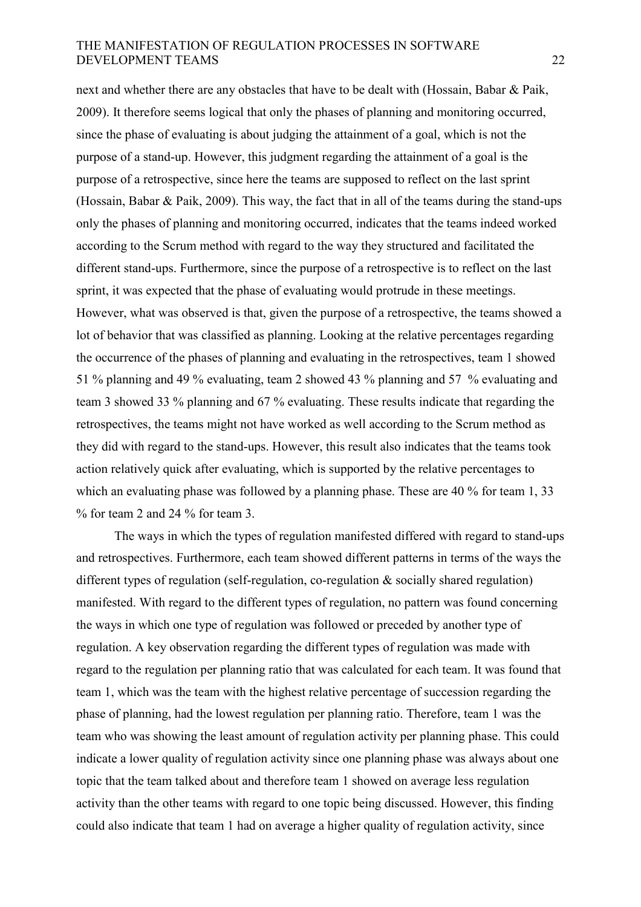next and whether there are any obstacles that have to be dealt with (Hossain, Babar & Paik, 2009). It therefore seems logical that only the phases of planning and monitoring occurred, since the phase of evaluating is about judging the attainment of a goal, which is not the purpose of a stand-up. However, this judgment regarding the attainment of a goal is the purpose of a retrospective, since here the teams are supposed to reflect on the last sprint (Hossain, Babar & Paik, 2009). This way, the fact that in all of the teams during the stand-ups only the phases of planning and monitoring occurred, indicates that the teams indeed worked according to the Scrum method with regard to the way they structured and facilitated the different stand-ups. Furthermore, since the purpose of a retrospective is to reflect on the last sprint, it was expected that the phase of evaluating would protrude in these meetings. However, what was observed is that, given the purpose of a retrospective, the teams showed a lot of behavior that was classified as planning. Looking at the relative percentages regarding the occurrence of the phases of planning and evaluating in the retrospectives, team 1 showed 51 % planning and 49 % evaluating, team 2 showed 43 % planning and 57 % evaluating and team 3 showed 33 % planning and 67 % evaluating. These results indicate that regarding the retrospectives, the teams might not have worked as well according to the Scrum method as they did with regard to the stand-ups. However, this result also indicates that the teams took action relatively quick after evaluating, which is supported by the relative percentages to which an evaluating phase was followed by a planning phase. These are 40 % for team 1, 33 % for team 2 and 24 % for team 3.

 The ways in which the types of regulation manifested differed with regard to stand-ups and retrospectives. Furthermore, each team showed different patterns in terms of the ways the different types of regulation (self-regulation, co-regulation & socially shared regulation) manifested. With regard to the different types of regulation, no pattern was found concerning the ways in which one type of regulation was followed or preceded by another type of regulation. A key observation regarding the different types of regulation was made with regard to the regulation per planning ratio that was calculated for each team. It was found that team 1, which was the team with the highest relative percentage of succession regarding the phase of planning, had the lowest regulation per planning ratio. Therefore, team 1 was the team who was showing the least amount of regulation activity per planning phase. This could indicate a lower quality of regulation activity since one planning phase was always about one topic that the team talked about and therefore team 1 showed on average less regulation activity than the other teams with regard to one topic being discussed. However, this finding could also indicate that team 1 had on average a higher quality of regulation activity, since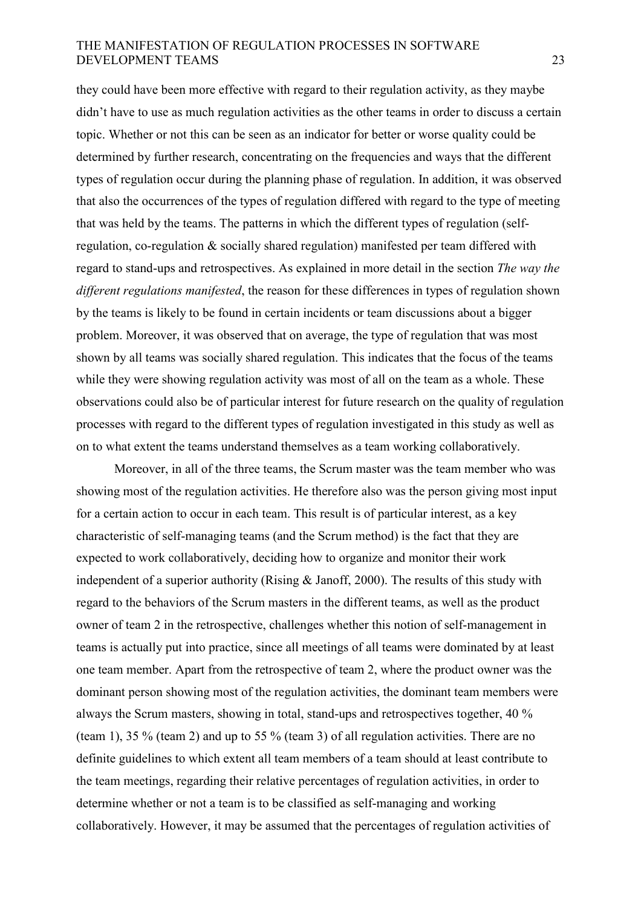they could have been more effective with regard to their regulation activity, as they maybe didn't have to use as much regulation activities as the other teams in order to discuss a certain topic. Whether or not this can be seen as an indicator for better or worse quality could be determined by further research, concentrating on the frequencies and ways that the different types of regulation occur during the planning phase of regulation. In addition, it was observed that also the occurrences of the types of regulation differed with regard to the type of meeting that was held by the teams. The patterns in which the different types of regulation (selfregulation, co-regulation & socially shared regulation) manifested per team differed with regard to stand-ups and retrospectives. As explained in more detail in the section *The way the different regulations manifested*, the reason for these differences in types of regulation shown by the teams is likely to be found in certain incidents or team discussions about a bigger problem. Moreover, it was observed that on average, the type of regulation that was most shown by all teams was socially shared regulation. This indicates that the focus of the teams while they were showing regulation activity was most of all on the team as a whole. These observations could also be of particular interest for future research on the quality of regulation processes with regard to the different types of regulation investigated in this study as well as on to what extent the teams understand themselves as a team working collaboratively.

 Moreover, in all of the three teams, the Scrum master was the team member who was showing most of the regulation activities. He therefore also was the person giving most input for a certain action to occur in each team. This result is of particular interest, as a key characteristic of self-managing teams (and the Scrum method) is the fact that they are expected to work collaboratively, deciding how to organize and monitor their work independent of a superior authority (Rising  $\&$  Janoff, 2000). The results of this study with regard to the behaviors of the Scrum masters in the different teams, as well as the product owner of team 2 in the retrospective, challenges whether this notion of self-management in teams is actually put into practice, since all meetings of all teams were dominated by at least one team member. Apart from the retrospective of team 2, where the product owner was the dominant person showing most of the regulation activities, the dominant team members were always the Scrum masters, showing in total, stand-ups and retrospectives together, 40 % (team 1), 35 % (team 2) and up to 55 % (team 3) of all regulation activities. There are no definite guidelines to which extent all team members of a team should at least contribute to the team meetings, regarding their relative percentages of regulation activities, in order to determine whether or not a team is to be classified as self-managing and working collaboratively. However, it may be assumed that the percentages of regulation activities of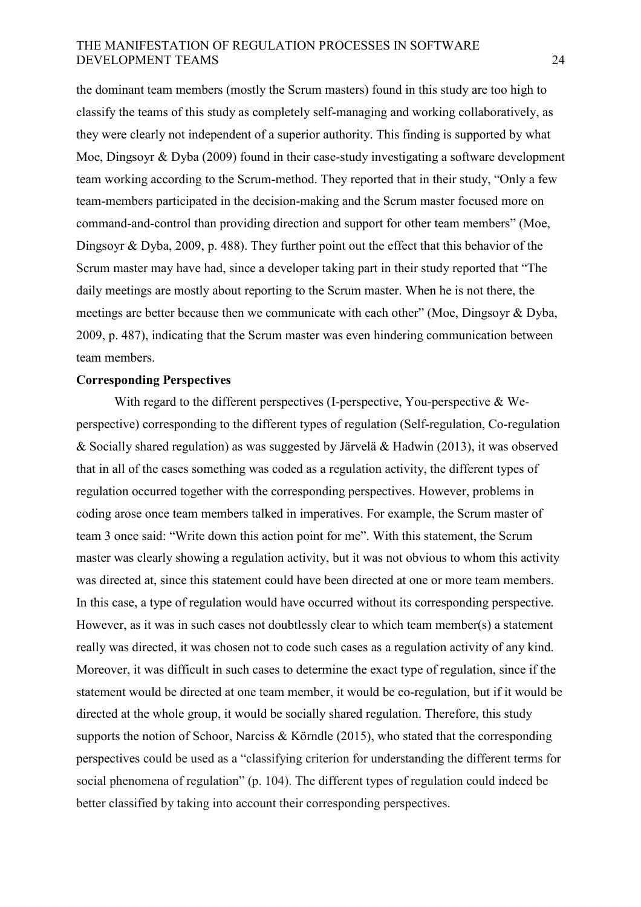the dominant team members (mostly the Scrum masters) found in this study are too high to classify the teams of this study as completely self-managing and working collaboratively, as they were clearly not independent of a superior authority. This finding is supported by what Moe, Dingsoyr & Dyba (2009) found in their case-study investigating a software development team working according to the Scrum-method. They reported that in their study, "Only a few team-members participated in the decision-making and the Scrum master focused more on command-and-control than providing direction and support for other team members" (Moe, Dingsoyr & Dyba, 2009, p. 488). They further point out the effect that this behavior of the Scrum master may have had, since a developer taking part in their study reported that "The daily meetings are mostly about reporting to the Scrum master. When he is not there, the meetings are better because then we communicate with each other" (Moe, Dingsoyr & Dyba, 2009, p. 487), indicating that the Scrum master was even hindering communication between team members.

#### **Corresponding Perspectives**

With regard to the different perspectives (I-perspective, You-perspective & Weperspective) corresponding to the different types of regulation (Self-regulation, Co-regulation & Socially shared regulation) as was suggested by Järvelä & Hadwin (2013), it was observed that in all of the cases something was coded as a regulation activity, the different types of regulation occurred together with the corresponding perspectives. However, problems in coding arose once team members talked in imperatives. For example, the Scrum master of team 3 once said: "Write down this action point for me". With this statement, the Scrum master was clearly showing a regulation activity, but it was not obvious to whom this activity was directed at, since this statement could have been directed at one or more team members. In this case, a type of regulation would have occurred without its corresponding perspective. However, as it was in such cases not doubtlessly clear to which team member(s) a statement really was directed, it was chosen not to code such cases as a regulation activity of any kind. Moreover, it was difficult in such cases to determine the exact type of regulation, since if the statement would be directed at one team member, it would be co-regulation, but if it would be directed at the whole group, it would be socially shared regulation. Therefore, this study supports the notion of Schoor, Narciss & Körndle (2015), who stated that the corresponding perspectives could be used as a "classifying criterion for understanding the different terms for social phenomena of regulation" (p. 104). The different types of regulation could indeed be better classified by taking into account their corresponding perspectives.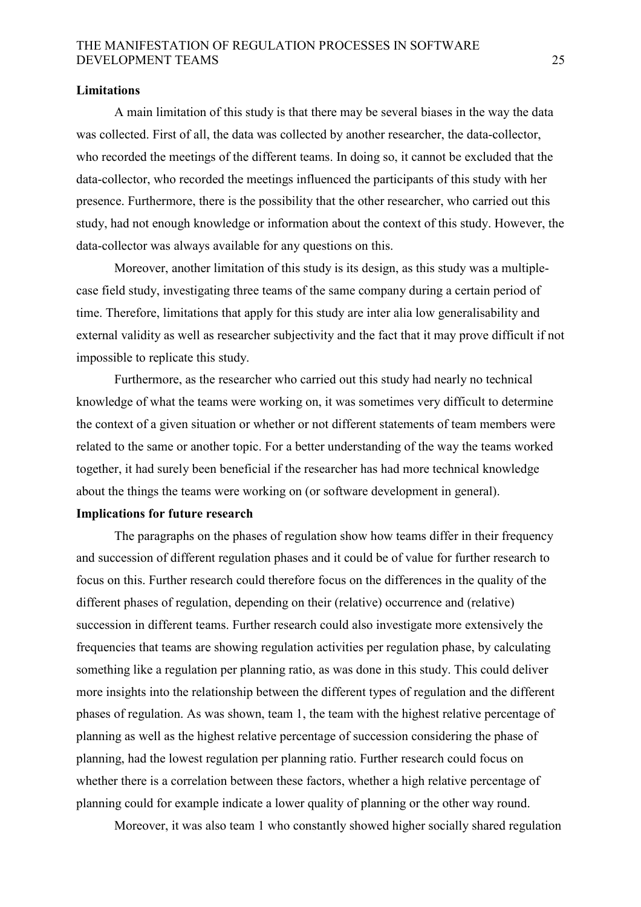#### **Limitations**

A main limitation of this study is that there may be several biases in the way the data was collected. First of all, the data was collected by another researcher, the data-collector, who recorded the meetings of the different teams. In doing so, it cannot be excluded that the data-collector, who recorded the meetings influenced the participants of this study with her presence. Furthermore, there is the possibility that the other researcher, who carried out this study, had not enough knowledge or information about the context of this study. However, the data-collector was always available for any questions on this.

 Moreover, another limitation of this study is its design, as this study was a multiplecase field study, investigating three teams of the same company during a certain period of time. Therefore, limitations that apply for this study are inter alia low generalisability and external validity as well as researcher subjectivity and the fact that it may prove difficult if not impossible to replicate this study.

 Furthermore, as the researcher who carried out this study had nearly no technical knowledge of what the teams were working on, it was sometimes very difficult to determine the context of a given situation or whether or not different statements of team members were related to the same or another topic. For a better understanding of the way the teams worked together, it had surely been beneficial if the researcher has had more technical knowledge about the things the teams were working on (or software development in general).

### **Implications for future research**

The paragraphs on the phases of regulation show how teams differ in their frequency and succession of different regulation phases and it could be of value for further research to focus on this. Further research could therefore focus on the differences in the quality of the different phases of regulation, depending on their (relative) occurrence and (relative) succession in different teams. Further research could also investigate more extensively the frequencies that teams are showing regulation activities per regulation phase, by calculating something like a regulation per planning ratio, as was done in this study. This could deliver more insights into the relationship between the different types of regulation and the different phases of regulation. As was shown, team 1, the team with the highest relative percentage of planning as well as the highest relative percentage of succession considering the phase of planning, had the lowest regulation per planning ratio. Further research could focus on whether there is a correlation between these factors, whether a high relative percentage of planning could for example indicate a lower quality of planning or the other way round.

Moreover, it was also team 1 who constantly showed higher socially shared regulation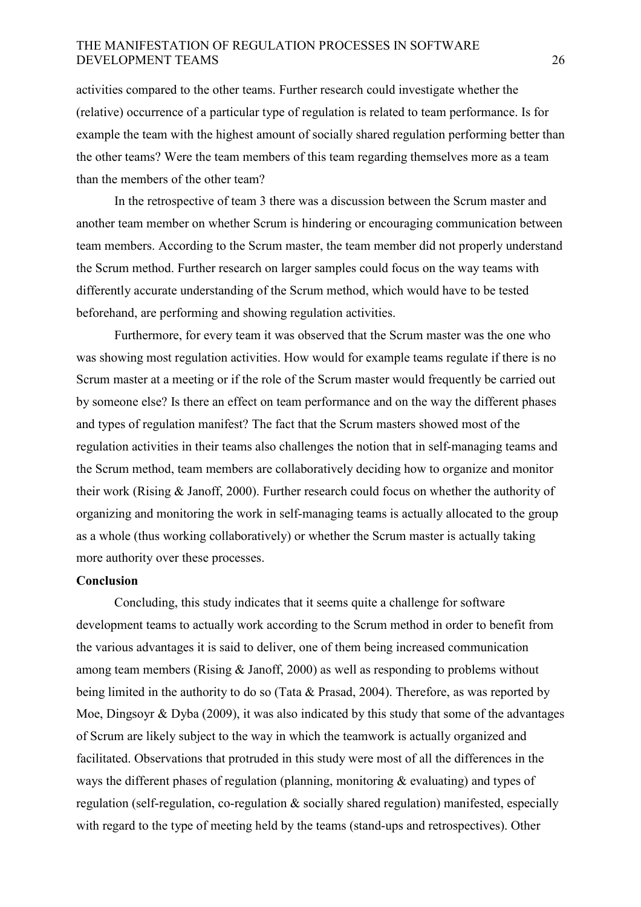activities compared to the other teams. Further research could investigate whether the (relative) occurrence of a particular type of regulation is related to team performance. Is for example the team with the highest amount of socially shared regulation performing better than the other teams? Were the team members of this team regarding themselves more as a team than the members of the other team?

 In the retrospective of team 3 there was a discussion between the Scrum master and another team member on whether Scrum is hindering or encouraging communication between team members. According to the Scrum master, the team member did not properly understand the Scrum method. Further research on larger samples could focus on the way teams with differently accurate understanding of the Scrum method, which would have to be tested beforehand, are performing and showing regulation activities.

 Furthermore, for every team it was observed that the Scrum master was the one who was showing most regulation activities. How would for example teams regulate if there is no Scrum master at a meeting or if the role of the Scrum master would frequently be carried out by someone else? Is there an effect on team performance and on the way the different phases and types of regulation manifest? The fact that the Scrum masters showed most of the regulation activities in their teams also challenges the notion that in self-managing teams and the Scrum method, team members are collaboratively deciding how to organize and monitor their work (Rising & Janoff, 2000). Further research could focus on whether the authority of organizing and monitoring the work in self-managing teams is actually allocated to the group as a whole (thus working collaboratively) or whether the Scrum master is actually taking more authority over these processes.

#### **Conclusion**

 Concluding, this study indicates that it seems quite a challenge for software development teams to actually work according to the Scrum method in order to benefit from the various advantages it is said to deliver, one of them being increased communication among team members (Rising & Janoff, 2000) as well as responding to problems without being limited in the authority to do so (Tata & Prasad, 2004). Therefore, as was reported by Moe, Dingsoyr & Dyba (2009), it was also indicated by this study that some of the advantages of Scrum are likely subject to the way in which the teamwork is actually organized and facilitated. Observations that protruded in this study were most of all the differences in the ways the different phases of regulation (planning, monitoring  $\&$  evaluating) and types of regulation (self-regulation, co-regulation & socially shared regulation) manifested, especially with regard to the type of meeting held by the teams (stand-ups and retrospectives). Other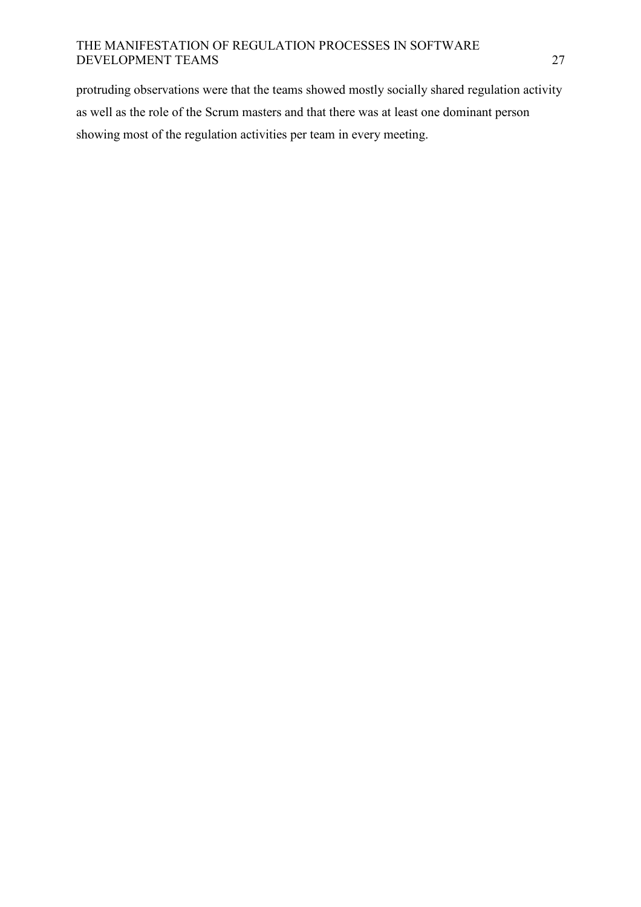protruding observations were that the teams showed mostly socially shared regulation activity as well as the role of the Scrum masters and that there was at least one dominant person showing most of the regulation activities per team in every meeting.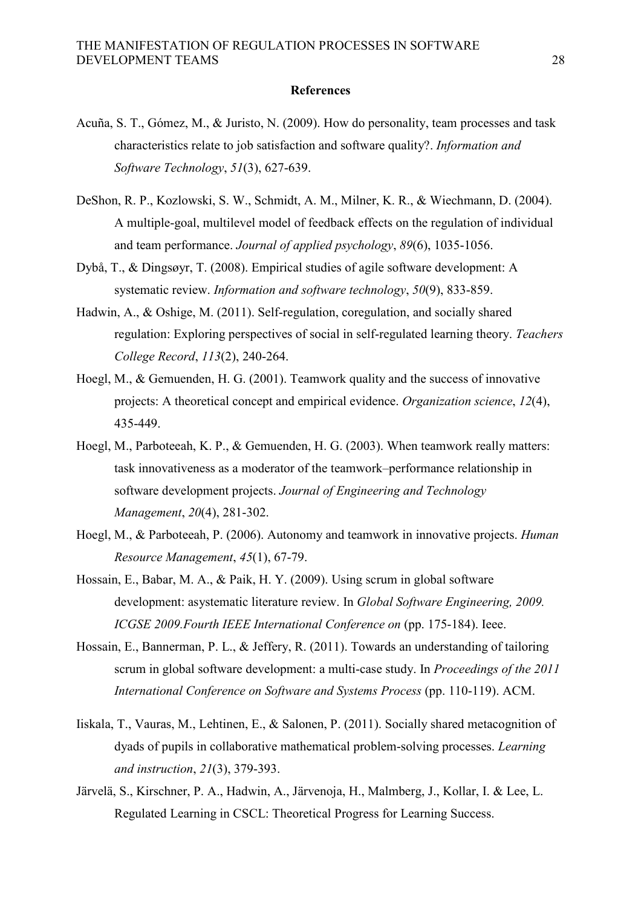#### **References**

- Acuña, S. T., Gómez, M., & Juristo, N. (2009). How do personality, team processes and task characteristics relate to job satisfaction and software quality?. *Information and Software Technology*, *51*(3), 627-639.
- DeShon, R. P., Kozlowski, S. W., Schmidt, A. M., Milner, K. R., & Wiechmann, D. (2004). A multiple-goal, multilevel model of feedback effects on the regulation of individual and team performance. *Journal of applied psychology*, *89*(6), 1035-1056.
- Dybå, T., & Dingsøyr, T. (2008). Empirical studies of agile software development: A systematic review. *Information and software technology*, *50*(9), 833-859.
- Hadwin, A., & Oshige, M. (2011). Self-regulation, coregulation, and socially shared regulation: Exploring perspectives of social in self-regulated learning theory. *Teachers College Record*, *113*(2), 240-264.
- Hoegl, M., & Gemuenden, H. G. (2001). Teamwork quality and the success of innovative projects: A theoretical concept and empirical evidence. *Organization science*, *12*(4), 435-449.
- Hoegl, M., Parboteeah, K. P., & Gemuenden, H. G. (2003). When teamwork really matters: task innovativeness as a moderator of the teamwork–performance relationship in software development projects. *Journal of Engineering and Technology Management*, *20*(4), 281-302.
- Hoegl, M., & Parboteeah, P. (2006). Autonomy and teamwork in innovative projects. *Human Resource Management*, *45*(1), 67-79.
- Hossain, E., Babar, M. A., & Paik, H. Y. (2009). Using scrum in global software development: asystematic literature review. In *Global Software Engineering, 2009. ICGSE 2009.Fourth IEEE International Conference on* (pp. 175-184). Ieee.
- Hossain, E., Bannerman, P. L., & Jeffery, R. (2011). Towards an understanding of tailoring scrum in global software development: a multi-case study. In *Proceedings of the 2011 International Conference on Software and Systems Process* (pp. 110-119). ACM.
- Iiskala, T., Vauras, M., Lehtinen, E., & Salonen, P. (2011). Socially shared metacognition of dyads of pupils in collaborative mathematical problem-solving processes. *Learning and instruction*, *21*(3), 379-393.
- Järvelä, S., Kirschner, P. A., Hadwin, A., Järvenoja, H., Malmberg, J., Kollar, I. & Lee, L. Regulated Learning in CSCL: Theoretical Progress for Learning Success.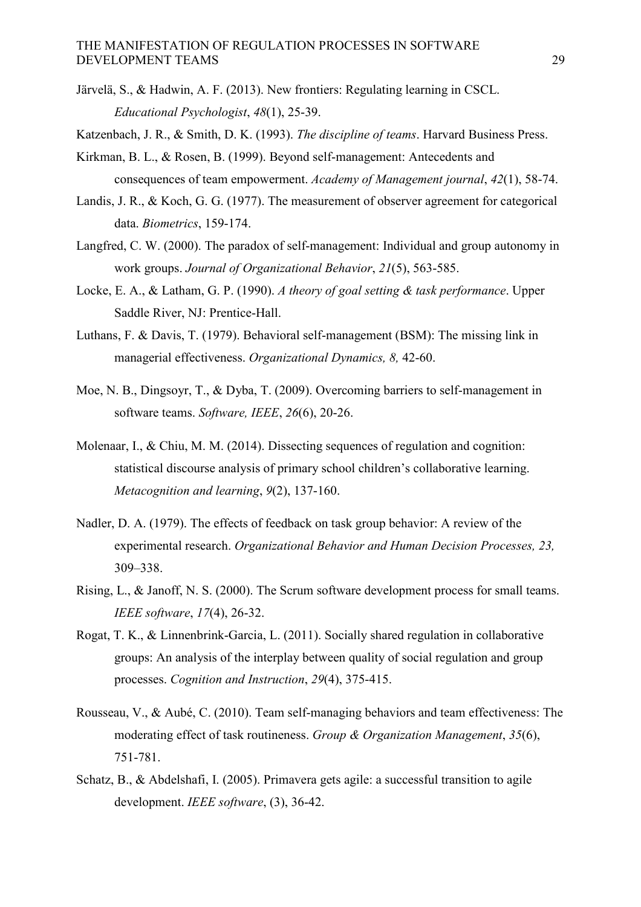- Järvelä, S., & Hadwin, A. F. (2013). New frontiers: Regulating learning in CSCL. *Educational Psychologist*, *48*(1), 25-39.
- Katzenbach, J. R., & Smith, D. K. (1993). *The discipline of teams*. Harvard Business Press.
- Kirkman, B. L., & Rosen, B. (1999). Beyond self-management: Antecedents and consequences of team empowerment. *Academy of Management journal*, *42*(1), 58-74.
- Landis, J. R., & Koch, G. G. (1977). The measurement of observer agreement for categorical data. *Biometrics*, 159-174.
- Langfred, C. W. (2000). The paradox of self-management: Individual and group autonomy in work groups. *Journal of Organizational Behavior*, *21*(5), 563-585.
- Locke, E. A., & Latham, G. P. (1990). *A theory of goal setting & task performance*. Upper Saddle River, NJ: Prentice-Hall.
- Luthans, F. & Davis, T. (1979). Behavioral self-management (BSM): The missing link in managerial effectiveness. *Organizational Dynamics, 8,* 42-60.
- Moe, N. B., Dingsoyr, T., & Dyba, T. (2009). Overcoming barriers to self-management in software teams. *Software, IEEE*, *26*(6), 20-26.
- Molenaar, I., & Chiu, M. M. (2014). Dissecting sequences of regulation and cognition: statistical discourse analysis of primary school children's collaborative learning. *Metacognition and learning*, *9*(2), 137-160.
- Nadler, D. A. (1979). The effects of feedback on task group behavior: A review of the experimental research. *Organizational Behavior and Human Decision Processes, 23,* 309–338.
- Rising, L., & Janoff, N. S. (2000). The Scrum software development process for small teams. *IEEE software*, *17*(4), 26-32.
- Rogat, T. K., & Linnenbrink-Garcia, L. (2011). Socially shared regulation in collaborative groups: An analysis of the interplay between quality of social regulation and group processes. *Cognition and Instruction*, *29*(4), 375-415.
- Rousseau, V., & Aubé, C. (2010). Team self-managing behaviors and team effectiveness: The moderating effect of task routineness. *Group & Organization Management*, *35*(6), 751-781.
- Schatz, B., & Abdelshafi, I. (2005). Primavera gets agile: a successful transition to agile development. *IEEE software*, (3), 36-42.